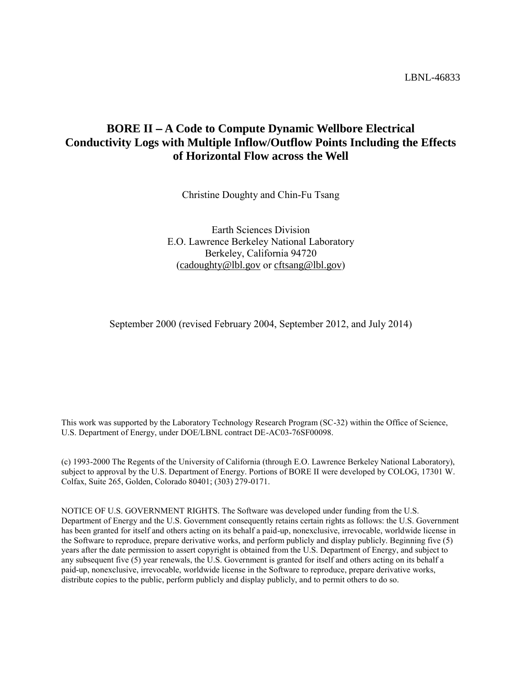LBNL-46833

# **BORE II – A Code to Compute Dynamic Wellbore Electrical Conductivity Logs with Multiple Inflow/Outflow Points Including the Effects of Horizontal Flow across the Well**

Christine Doughty and Chin-Fu Tsang

Earth Sciences Division E.O. Lawrence Berkeley National Laboratory Berkeley, California 94720 ([cadoughty@lbl.gov](mailto:cadoughty@lbl.gov) or [cftsang@lbl.gov](mailto:cftsang@lbl.gov))

September 2000 (revised February 2004, September 2012, and July 2014)

This work was supported by the Laboratory Technology Research Program (SC-32) within the Office of Science, U.S. Department of Energy, under DOE/LBNL contract DE-AC03-76SF00098.

(c) 1993-2000 The Regents of the University of California (through E.O. Lawrence Berkeley National Laboratory), subject to approval by the U.S. Department of Energy. Portions of BORE II were developed by COLOG, 17301 W. Colfax, Suite 265, Golden, Colorado 80401; (303) 279-0171.

NOTICE OF U.S. GOVERNMENT RIGHTS. The Software was developed under funding from the U.S. Department of Energy and the U.S. Government consequently retains certain rights as follows: the U.S. Government has been granted for itself and others acting on its behalf a paid-up, nonexclusive, irrevocable, worldwide license in the Software to reproduce, prepare derivative works, and perform publicly and display publicly. Beginning five (5) years after the date permission to assert copyright is obtained from the U.S. Department of Energy, and subject to any subsequent five (5) year renewals, the U.S. Government is granted for itself and others acting on its behalf a paid-up, nonexclusive, irrevocable, worldwide license in the Software to reproduce, prepare derivative works, distribute copies to the public, perform publicly and display publicly, and to permit others to do so.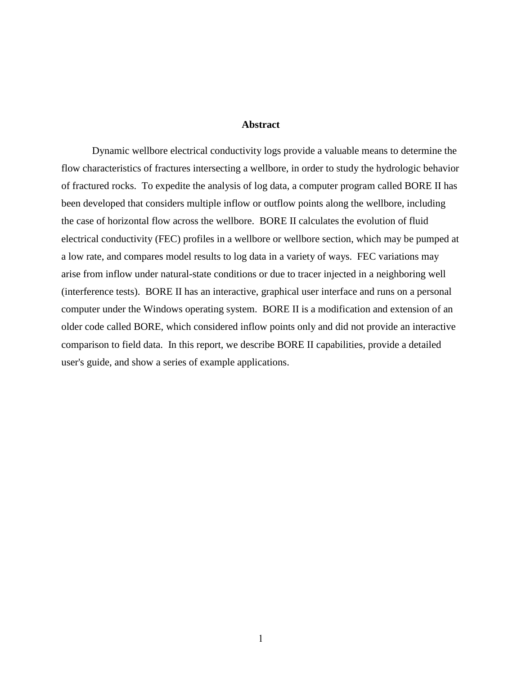#### **Abstract**

Dynamic wellbore electrical conductivity logs provide a valuable means to determine the flow characteristics of fractures intersecting a wellbore, in order to study the hydrologic behavior of fractured rocks. To expedite the analysis of log data, a computer program called BORE II has been developed that considers multiple inflow or outflow points along the wellbore, including the case of horizontal flow across the wellbore. BORE II calculates the evolution of fluid electrical conductivity (FEC) profiles in a wellbore or wellbore section, which may be pumped at a low rate, and compares model results to log data in a variety of ways. FEC variations may arise from inflow under natural-state conditions or due to tracer injected in a neighboring well (interference tests). BORE II has an interactive, graphical user interface and runs on a personal computer under the Windows operating system. BORE II is a modification and extension of an older code called BORE, which considered inflow points only and did not provide an interactive comparison to field data. In this report, we describe BORE II capabilities, provide a detailed user's guide, and show a series of example applications.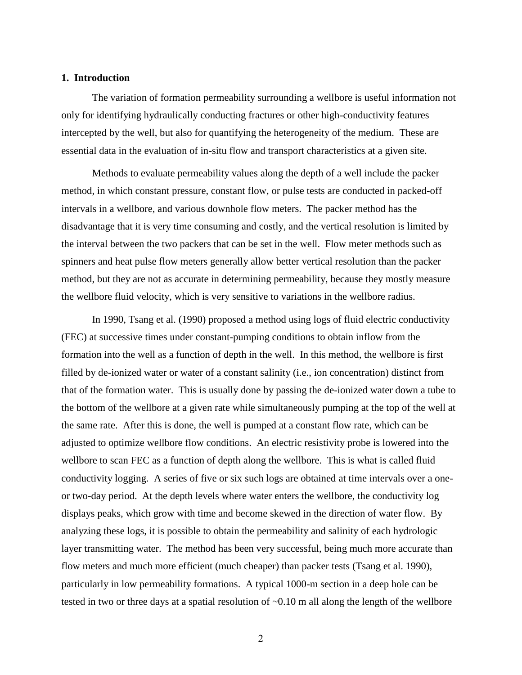#### **1. Introduction**

The variation of formation permeability surrounding a wellbore is useful information not only for identifying hydraulically conducting fractures or other high-conductivity features intercepted by the well, but also for quantifying the heterogeneity of the medium. These are essential data in the evaluation of in-situ flow and transport characteristics at a given site.

Methods to evaluate permeability values along the depth of a well include the packer method, in which constant pressure, constant flow, or pulse tests are conducted in packed-off intervals in a wellbore, and various downhole flow meters. The packer method has the disadvantage that it is very time consuming and costly, and the vertical resolution is limited by the interval between the two packers that can be set in the well. Flow meter methods such as spinners and heat pulse flow meters generally allow better vertical resolution than the packer method, but they are not as accurate in determining permeability, because they mostly measure the wellbore fluid velocity, which is very sensitive to variations in the wellbore radius.

In 1990, Tsang et al. (1990) proposed a method using logs of fluid electric conductivity (FEC) at successive times under constant-pumping conditions to obtain inflow from the formation into the well as a function of depth in the well. In this method, the wellbore is first filled by de-ionized water or water of a constant salinity (i.e., ion concentration) distinct from that of the formation water. This is usually done by passing the de-ionized water down a tube to the bottom of the wellbore at a given rate while simultaneously pumping at the top of the well at the same rate. After this is done, the well is pumped at a constant flow rate, which can be adjusted to optimize wellbore flow conditions. An electric resistivity probe is lowered into the wellbore to scan FEC as a function of depth along the wellbore. This is what is called fluid conductivity logging. A series of five or six such logs are obtained at time intervals over a oneor two-day period. At the depth levels where water enters the wellbore, the conductivity log displays peaks, which grow with time and become skewed in the direction of water flow. By analyzing these logs, it is possible to obtain the permeability and salinity of each hydrologic layer transmitting water. The method has been very successful, being much more accurate than flow meters and much more efficient (much cheaper) than packer tests (Tsang et al. 1990), particularly in low permeability formations. A typical 1000-m section in a deep hole can be tested in two or three days at a spatial resolution of ~0.10 m all along the length of the wellbore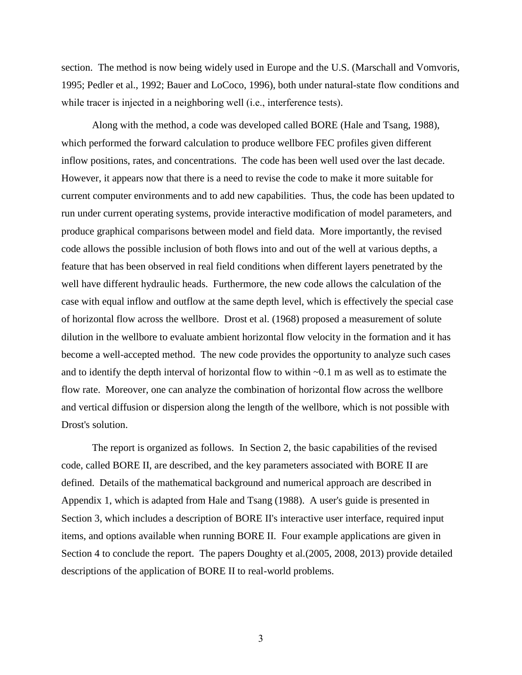section. The method is now being widely used in Europe and the U.S. (Marschall and Vomvoris, 1995; Pedler et al., 1992; Bauer and LoCoco, 1996), both under natural-state flow conditions and while tracer is injected in a neighboring well (i.e., interference tests).

Along with the method, a code was developed called BORE (Hale and Tsang, 1988), which performed the forward calculation to produce wellbore FEC profiles given different inflow positions, rates, and concentrations. The code has been well used over the last decade. However, it appears now that there is a need to revise the code to make it more suitable for current computer environments and to add new capabilities. Thus, the code has been updated to run under current operating systems, provide interactive modification of model parameters, and produce graphical comparisons between model and field data. More importantly, the revised code allows the possible inclusion of both flows into and out of the well at various depths, a feature that has been observed in real field conditions when different layers penetrated by the well have different hydraulic heads. Furthermore, the new code allows the calculation of the case with equal inflow and outflow at the same depth level, which is effectively the special case of horizontal flow across the wellbore. Drost et al. (1968) proposed a measurement of solute dilution in the wellbore to evaluate ambient horizontal flow velocity in the formation and it has become a well-accepted method. The new code provides the opportunity to analyze such cases and to identify the depth interval of horizontal flow to within ~0.1 m as well as to estimate the flow rate. Moreover, one can analyze the combination of horizontal flow across the wellbore and vertical diffusion or dispersion along the length of the wellbore, which is not possible with Drost's solution.

The report is organized as follows. In Section 2, the basic capabilities of the revised code, called BORE II, are described, and the key parameters associated with BORE II are defined. Details of the mathematical background and numerical approach are described in Appendix 1, which is adapted from Hale and Tsang (1988). A user's guide is presented in Section 3, which includes a description of BORE II's interactive user interface, required input items, and options available when running BORE II. Four example applications are given in Section 4 to conclude the report. The papers Doughty et al.(2005, 2008, 2013) provide detailed descriptions of the application of BORE II to real-world problems.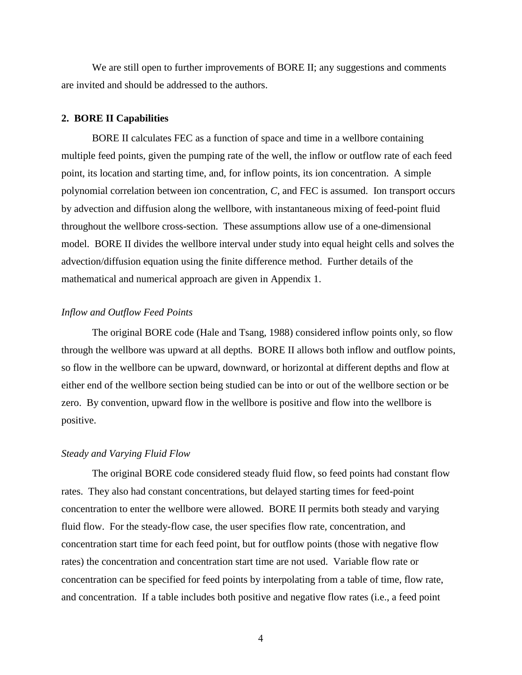We are still open to further improvements of BORE II; any suggestions and comments are invited and should be addressed to the authors.

#### **2. BORE II Capabilities**

BORE II calculates FEC as a function of space and time in a wellbore containing multiple feed points, given the pumping rate of the well, the inflow or outflow rate of each feed point, its location and starting time, and, for inflow points, its ion concentration. A simple polynomial correlation between ion concentration, *C*, and FEC is assumed. Ion transport occurs by advection and diffusion along the wellbore, with instantaneous mixing of feed-point fluid throughout the wellbore cross-section. These assumptions allow use of a one-dimensional model. BORE II divides the wellbore interval under study into equal height cells and solves the advection/diffusion equation using the finite difference method. Further details of the mathematical and numerical approach are given in Appendix 1.

#### *Inflow and Outflow Feed Points*

The original BORE code (Hale and Tsang, 1988) considered inflow points only, so flow through the wellbore was upward at all depths. BORE II allows both inflow and outflow points, so flow in the wellbore can be upward, downward, or horizontal at different depths and flow at either end of the wellbore section being studied can be into or out of the wellbore section or be zero. By convention, upward flow in the wellbore is positive and flow into the wellbore is positive.

#### *Steady and Varying Fluid Flow*

The original BORE code considered steady fluid flow, so feed points had constant flow rates. They also had constant concentrations, but delayed starting times for feed-point concentration to enter the wellbore were allowed. BORE II permits both steady and varying fluid flow. For the steady-flow case, the user specifies flow rate, concentration, and concentration start time for each feed point, but for outflow points (those with negative flow rates) the concentration and concentration start time are not used. Variable flow rate or concentration can be specified for feed points by interpolating from a table of time, flow rate, and concentration. If a table includes both positive and negative flow rates (i.e., a feed point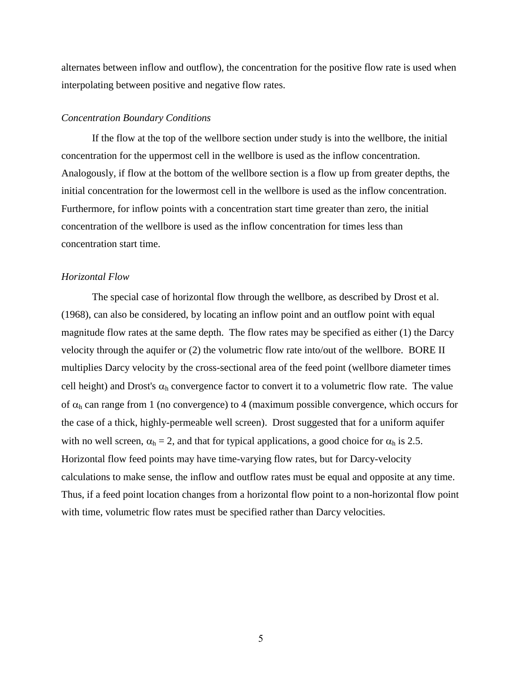alternates between inflow and outflow), the concentration for the positive flow rate is used when interpolating between positive and negative flow rates.

#### *Concentration Boundary Conditions*

If the flow at the top of the wellbore section under study is into the wellbore, the initial concentration for the uppermost cell in the wellbore is used as the inflow concentration. Analogously, if flow at the bottom of the wellbore section is a flow up from greater depths, the initial concentration for the lowermost cell in the wellbore is used as the inflow concentration. Furthermore, for inflow points with a concentration start time greater than zero, the initial concentration of the wellbore is used as the inflow concentration for times less than concentration start time.

#### *Horizontal Flow*

The special case of horizontal flow through the wellbore, as described by Drost et al. (1968), can also be considered, by locating an inflow point and an outflow point with equal magnitude flow rates at the same depth. The flow rates may be specified as either (1) the Darcy velocity through the aquifer or (2) the volumetric flow rate into/out of the wellbore. BORE II multiplies Darcy velocity by the cross-sectional area of the feed point (wellbore diameter times cell height) and Drost's  $\alpha_h$  convergence factor to convert it to a volumetric flow rate. The value of  $\alpha_h$  can range from 1 (no convergence) to 4 (maximum possible convergence, which occurs for the case of a thick, highly-permeable well screen). Drost suggested that for a uniform aquifer with no well screen,  $\alpha_h = 2$ , and that for typical applications, a good choice for  $\alpha_h$  is 2.5. Horizontal flow feed points may have time-varying flow rates, but for Darcy-velocity calculations to make sense, the inflow and outflow rates must be equal and opposite at any time. Thus, if a feed point location changes from a horizontal flow point to a non-horizontal flow point with time, volumetric flow rates must be specified rather than Darcy velocities.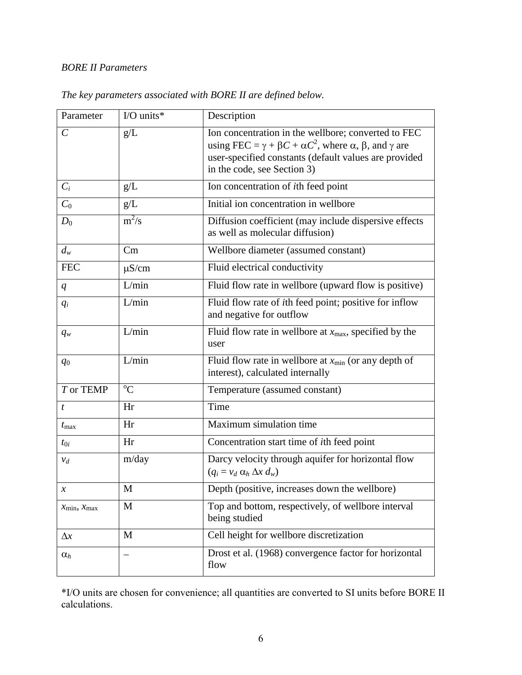# *BORE II Parameters*

| Parameter                  | I/O units*      | Description                                                                                                                                                                                                                                             |
|----------------------------|-----------------|---------------------------------------------------------------------------------------------------------------------------------------------------------------------------------------------------------------------------------------------------------|
| $\mathcal{C}_{0}^{0}$      | g/L             | Ion concentration in the wellbore; converted to FEC<br>using FEC = $\gamma$ + $\beta$ C + $\alpha$ C <sup>2</sup> , where $\alpha$ , $\beta$ , and $\gamma$ are<br>user-specified constants (default values are provided<br>in the code, see Section 3) |
| $C_i$                      | g/L             | Ion concentration of <i>ith</i> feed point                                                                                                                                                                                                              |
| $C_0$                      | g/L             | Initial ion concentration in wellbore                                                                                                                                                                                                                   |
| $D_0$                      | $m^2/s$         | Diffusion coefficient (may include dispersive effects<br>as well as molecular diffusion)                                                                                                                                                                |
| $d_w$                      | Cm              | Wellbore diameter (assumed constant)                                                                                                                                                                                                                    |
| <b>FEC</b>                 | $\mu$ S/cm      | Fluid electrical conductivity                                                                                                                                                                                                                           |
| $q_{\parallel}$            | L/min           | Fluid flow rate in wellbore (upward flow is positive)                                                                                                                                                                                                   |
| $q_i$                      | L/min           | Fluid flow rate of ith feed point; positive for inflow<br>and negative for outflow                                                                                                                                                                      |
| $q_w$                      | L/min           | Fluid flow rate in wellbore at $x_{\text{max}}$ , specified by the<br>user                                                                                                                                                                              |
| $q_0$                      | L/min           | Fluid flow rate in wellbore at $x_{\text{min}}$ (or any depth of<br>interest), calculated internally                                                                                                                                                    |
| T or TEMP                  | $\overline{O}C$ | Temperature (assumed constant)                                                                                                                                                                                                                          |
| $\boldsymbol{t}$           | Hr              | Time                                                                                                                                                                                                                                                    |
| $t_{\rm max}$              | Hr              | Maximum simulation time                                                                                                                                                                                                                                 |
| $t_{0i}$                   | Hr              | Concentration start time of <i>i</i> th feed point                                                                                                                                                                                                      |
| $v_d$                      | m/day           | Darcy velocity through aquifer for horizontal flow<br>$(q_i = v_d \alpha_h \Delta x d_w)$                                                                                                                                                               |
| $\boldsymbol{\mathcal{X}}$ | M               | Depth (positive, increases down the wellbore)                                                                                                                                                                                                           |
| $x_{\min}, x_{\max}$       | M               | Top and bottom, respectively, of wellbore interval<br>being studied                                                                                                                                                                                     |
| $\Delta x$                 | M               | Cell height for wellbore discretization                                                                                                                                                                                                                 |
| $\alpha_h$                 |                 | Drost et al. (1968) convergence factor for horizontal<br>flow                                                                                                                                                                                           |

# *The key parameters associated with BORE II are defined below.*

\*I/O units are chosen for convenience; all quantities are converted to SI units before BORE II calculations.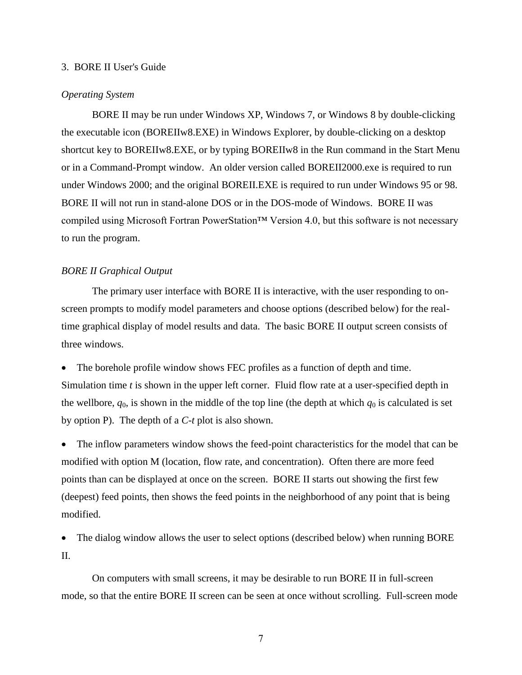#### 3. BORE II User's Guide

## *Operating System*

BORE II may be run under Windows XP, Windows 7, or Windows 8 by double-clicking the executable icon (BOREIIw8.EXE) in Windows Explorer, by double-clicking on a desktop shortcut key to BOREIIw8.EXE, or by typing BOREIIw8 in the Run command in the Start Menu or in a Command-Prompt window. An older version called BOREII2000.exe is required to run under Windows 2000; and the original BOREII.EXE is required to run under Windows 95 or 98. BORE II will not run in stand-alone DOS or in the DOS-mode of Windows. BORE II was compiled using Microsoft Fortran PowerStation™ Version 4.0, but this software is not necessary to run the program.

#### *BORE II Graphical Output*

The primary user interface with BORE II is interactive, with the user responding to onscreen prompts to modify model parameters and choose options (described below) for the realtime graphical display of model results and data. The basic BORE II output screen consists of three windows.

 The borehole profile window shows FEC profiles as a function of depth and time. Simulation time *t* is shown in the upper left corner. Fluid flow rate at a user-specified depth in the wellbore,  $q_0$ , is shown in the middle of the top line (the depth at which  $q_0$  is calculated is set by option P). The depth of a *C-t* plot is also shown.

 The inflow parameters window shows the feed-point characteristics for the model that can be modified with option M (location, flow rate, and concentration). Often there are more feed points than can be displayed at once on the screen. BORE II starts out showing the first few (deepest) feed points, then shows the feed points in the neighborhood of any point that is being modified.

• The dialog window allows the user to select options (described below) when running BORE II.

On computers with small screens, it may be desirable to run BORE II in full-screen mode, so that the entire BORE II screen can be seen at once without scrolling. Full-screen mode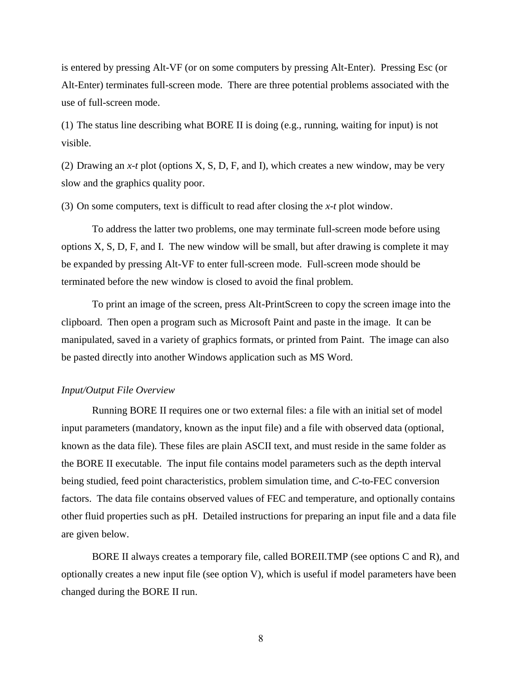is entered by pressing Alt-VF (or on some computers by pressing Alt-Enter). Pressing Esc (or Alt-Enter) terminates full-screen mode. There are three potential problems associated with the use of full-screen mode.

(1) The status line describing what BORE II is doing (e.g., running, waiting for input) is not visible.

(2) Drawing an *x-t* plot (options X, S, D, F, and I), which creates a new window, may be very slow and the graphics quality poor.

(3) On some computers, text is difficult to read after closing the *x-t* plot window.

To address the latter two problems, one may terminate full-screen mode before using options X, S, D, F, and I. The new window will be small, but after drawing is complete it may be expanded by pressing Alt-VF to enter full-screen mode. Full-screen mode should be terminated before the new window is closed to avoid the final problem.

To print an image of the screen, press Alt-PrintScreen to copy the screen image into the clipboard. Then open a program such as Microsoft Paint and paste in the image. It can be manipulated, saved in a variety of graphics formats, or printed from Paint. The image can also be pasted directly into another Windows application such as MS Word.

#### *Input/Output File Overview*

Running BORE II requires one or two external files: a file with an initial set of model input parameters (mandatory, known as the input file) and a file with observed data (optional, known as the data file). These files are plain ASCII text, and must reside in the same folder as the BORE II executable. The input file contains model parameters such as the depth interval being studied, feed point characteristics, problem simulation time, and *C*-to-FEC conversion factors. The data file contains observed values of FEC and temperature, and optionally contains other fluid properties such as pH. Detailed instructions for preparing an input file and a data file are given below.

BORE II always creates a temporary file, called BOREII.TMP (see options C and R), and optionally creates a new input file (see option V), which is useful if model parameters have been changed during the BORE II run.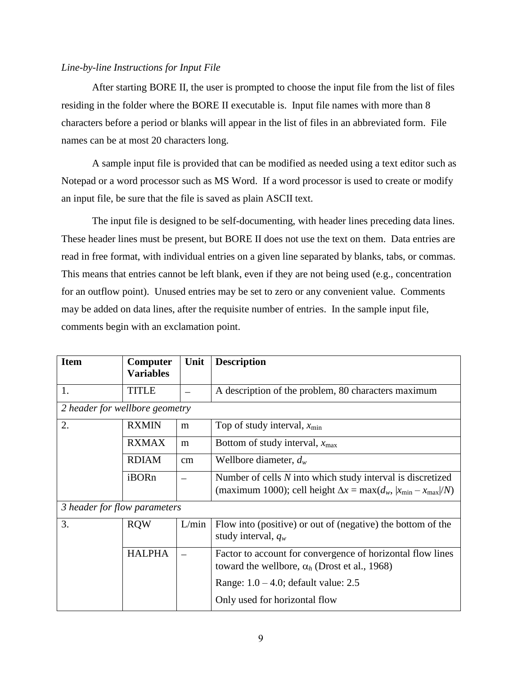#### *Line-by-line Instructions for Input File*

After starting BORE II, the user is prompted to choose the input file from the list of files residing in the folder where the BORE II executable is. Input file names with more than 8 characters before a period or blanks will appear in the list of files in an abbreviated form. File names can be at most 20 characters long.

A sample input file is provided that can be modified as needed using a text editor such as Notepad or a word processor such as MS Word. If a word processor is used to create or modify an input file, be sure that the file is saved as plain ASCII text.

The input file is designed to be self-documenting, with header lines preceding data lines. These header lines must be present, but BORE II does not use the text on them. Data entries are read in free format, with individual entries on a given line separated by blanks, tabs, or commas. This means that entries cannot be left blank, even if they are not being used (e.g., concentration for an outflow point). Unused entries may be set to zero or any convenient value. Comments may be added on data lines, after the requisite number of entries. In the sample input file, comments begin with an exclamation point.

| <b>Item</b>                    | <b>Computer</b><br><b>Variables</b> | Unit  | <b>Description</b>                                                                                                                          |
|--------------------------------|-------------------------------------|-------|---------------------------------------------------------------------------------------------------------------------------------------------|
| 1.                             | <b>TITLE</b>                        |       | A description of the problem, 80 characters maximum                                                                                         |
| 2 header for wellbore geometry |                                     |       |                                                                                                                                             |
| 2.                             | <b>RXMIN</b>                        | m     | Top of study interval, $x_{\text{min}}$                                                                                                     |
|                                | <b>RXMAX</b>                        | m     | Bottom of study interval, $x_{\text{max}}$                                                                                                  |
|                                | <b>RDIAM</b>                        | cm    | Wellbore diameter, $d_w$                                                                                                                    |
|                                | iBORn                               |       | Number of cells $N$ into which study interval is discretized<br>(maximum 1000); cell height $\Delta x = \max(d_w,  x_{\min} - x_{\max} /N)$ |
| 3 header for flow parameters   |                                     |       |                                                                                                                                             |
| 3.                             | <b>RQW</b>                          | L/min | Flow into (positive) or out of (negative) the bottom of the<br>study interval, $q_w$                                                        |
|                                | <b>HALPHA</b>                       |       | Factor to account for convergence of horizontal flow lines<br>toward the wellbore, $\alpha_h$ (Drost et al., 1968)                          |
|                                |                                     |       | Range: $1.0 - 4.0$ ; default value: $2.5$                                                                                                   |
|                                |                                     |       | Only used for horizontal flow                                                                                                               |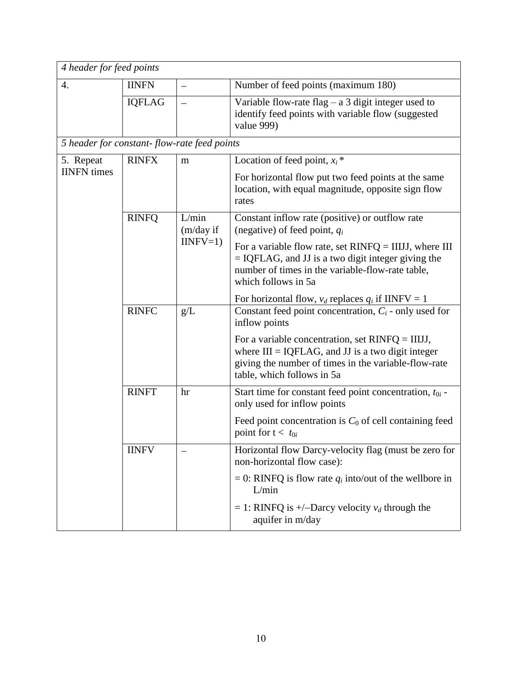| 4 header for feed points                    |               |                                  |                                                                                                                                                                                                     |  |  |  |
|---------------------------------------------|---------------|----------------------------------|-----------------------------------------------------------------------------------------------------------------------------------------------------------------------------------------------------|--|--|--|
| $\overline{4}$ .                            | <b>IINFN</b>  | —                                | Number of feed points (maximum 180)                                                                                                                                                                 |  |  |  |
|                                             | <b>IQFLAG</b> | $\overline{\phantom{0}}$         | Variable flow-rate flag $-$ a 3 digit integer used to<br>identify feed points with variable flow (suggested<br>value 999)                                                                           |  |  |  |
| 5 header for constant-flow-rate feed points |               |                                  |                                                                                                                                                                                                     |  |  |  |
| 5. Repeat                                   | <b>RINFX</b>  | m                                | Location of feed point, $x_i$ <sup>*</sup>                                                                                                                                                          |  |  |  |
| <b>IINFN</b> times                          |               |                                  | For horizontal flow put two feed points at the same<br>location, with equal magnitude, opposite sign flow<br>rates                                                                                  |  |  |  |
|                                             | <b>RINFQ</b>  | L/min<br>(m/day if<br>$IINFV=1)$ | Constant inflow rate (positive) or outflow rate<br>(negative) of feed point, $q_i$                                                                                                                  |  |  |  |
|                                             |               |                                  | For a variable flow rate, set $RINFQ = IIIJI$ , where III<br>$=$ IQFLAG, and JJ is a two digit integer giving the<br>number of times in the variable-flow-rate table,<br>which follows in 5a        |  |  |  |
|                                             |               |                                  | For horizontal flow, $v_d$ replaces $q_i$ if IINFV = 1                                                                                                                                              |  |  |  |
|                                             | <b>RINFC</b>  | g/L                              | Constant feed point concentration, $C_i$ - only used for<br>inflow points                                                                                                                           |  |  |  |
|                                             |               |                                  | For a variable concentration, set $RINFQ = IIIJJ$ ,<br>where $III = IQFLAG$ , and $JJ$ is a two digit integer<br>giving the number of times in the variable-flow-rate<br>table, which follows in 5a |  |  |  |
|                                             | <b>RINFT</b>  | hr                               | Start time for constant feed point concentration, $t_{0i}$ -<br>only used for inflow points                                                                                                         |  |  |  |
|                                             |               |                                  | Feed point concentration is $C_0$ of cell containing feed<br>point for $t < t_{0i}$                                                                                                                 |  |  |  |
|                                             | <b>IINFV</b>  |                                  | Horizontal flow Darcy-velocity flag (must be zero for<br>non-horizontal flow case):                                                                                                                 |  |  |  |
|                                             |               |                                  | = 0: RINFQ is flow rate $q_i$ into/out of the wellbore in<br>L/min                                                                                                                                  |  |  |  |
|                                             |               |                                  | = 1: RINFQ is +/-Darcy velocity $v_d$ through the<br>aquifer in m/day                                                                                                                               |  |  |  |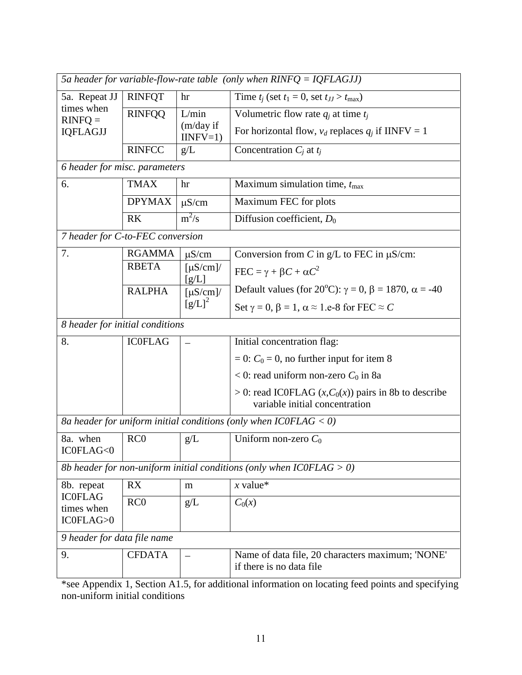| 5a header for variable-flow-rate table (only when $RINFQ = IQFLAGJJ$ ) |                 |                                          |                                                                                           |  |  |  |
|------------------------------------------------------------------------|-----------------|------------------------------------------|-------------------------------------------------------------------------------------------|--|--|--|
| 5a. Repeat JJ                                                          | <b>RINFQT</b>   | hr                                       | Time $t_j$ (set $t_1 = 0$ , set $t_{JJ} > t_{\text{max}}$ )                               |  |  |  |
| times when<br>$RINFQ =$                                                | <b>RINFQQ</b>   | L/min                                    | Volumetric flow rate $q_i$ at time $t_j$                                                  |  |  |  |
| <b>IQFLAGJJ</b>                                                        |                 | (m/day if<br>$IINFV=1)$                  | For horizontal flow, $v_d$ replaces $q_i$ if IINFV = 1                                    |  |  |  |
|                                                                        | <b>RINFCC</b>   | g/L                                      | Concentration $C_i$ at $t_i$                                                              |  |  |  |
| 6 header for misc. parameters                                          |                 |                                          |                                                                                           |  |  |  |
| 6.                                                                     | <b>TMAX</b>     | hr                                       | Maximum simulation time, $t_{\text{max}}$                                                 |  |  |  |
|                                                                        | <b>DPYMAX</b>   | $\mu$ S/cm                               | Maximum FEC for plots                                                                     |  |  |  |
|                                                                        | <b>RK</b>       | $m^2/s$                                  | Diffusion coefficient, $D_0$                                                              |  |  |  |
| 7 header for C-to-FEC conversion                                       |                 |                                          |                                                                                           |  |  |  |
| 7.                                                                     | <b>RGAMMA</b>   | $\mu$ S/cm                               | Conversion from C in $g/L$ to FEC in $\mu$ S/cm:                                          |  |  |  |
|                                                                        | <b>RBETA</b>    | $\left[\mu\text{S/cm}\right]$ /<br>[g/L] | $\text{FEC} = \gamma + \beta C + \alpha C^2$                                              |  |  |  |
|                                                                        | <b>RALPHA</b>   | $[\mu S/cm]$                             | Default values (for 20°C): $\gamma = 0$ , $\beta = 1870$ , $\alpha = -40$                 |  |  |  |
|                                                                        |                 | $[g/L]^2$                                | Set $\gamma = 0$ , $\beta = 1$ , $\alpha \approx 1$ .e-8 for FEC $\approx C$              |  |  |  |
| 8 header for initial conditions                                        |                 |                                          |                                                                                           |  |  |  |
| 8.                                                                     | <b>ICOFLAG</b>  |                                          | Initial concentration flag:                                                               |  |  |  |
|                                                                        |                 |                                          | $= 0$ : $C_0 = 0$ , no further input for item 8                                           |  |  |  |
|                                                                        |                 |                                          | $< 0$ : read uniform non-zero $C_0$ in 8a                                                 |  |  |  |
|                                                                        |                 |                                          | > 0: read ICOFLAG $(x, C_0(x))$ pairs in 8b to describe<br>variable initial concentration |  |  |  |
|                                                                        |                 |                                          | 8a header for uniform initial conditions (only when $ICOFLAG < 0$ )                       |  |  |  |
| 8a. when<br>IC0FLAG<0                                                  | RC <sub>0</sub> | g/L                                      | Uniform non-zero $C_0$                                                                    |  |  |  |
|                                                                        |                 |                                          | 8b header for non-uniform initial conditions (only when $ICOFLAG > 0$ )                   |  |  |  |
| 8b. repeat                                                             | RX              | m                                        | $x$ value*                                                                                |  |  |  |
| <b>ICOFLAG</b><br>times when                                           | RC <sub>0</sub> | g/L                                      | $C_0(x)$                                                                                  |  |  |  |
| IC0FLAG>0                                                              |                 |                                          |                                                                                           |  |  |  |
| 9 header for data file name                                            |                 |                                          |                                                                                           |  |  |  |
| 9.                                                                     | <b>CFDATA</b>   |                                          | Name of data file, 20 characters maximum; 'NONE'                                          |  |  |  |
|                                                                        |                 |                                          | if there is no data file.                                                                 |  |  |  |

\*see Appendix 1, Section A1.5, for additional information on locating feed points and specifying non-uniform initial conditions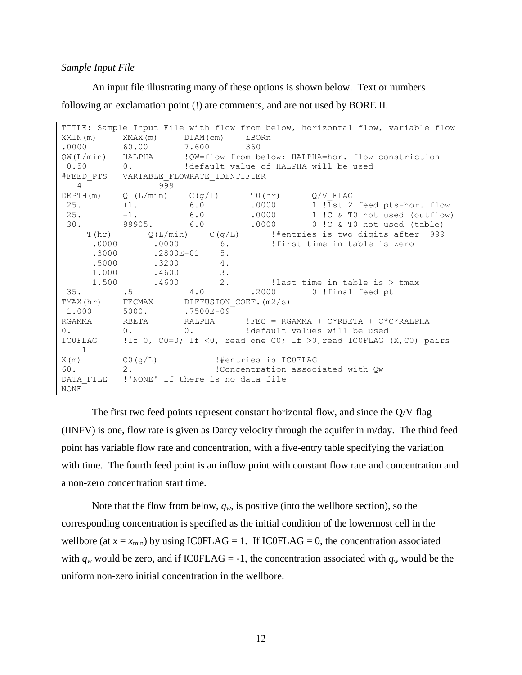#### *Sample Input File*

An input file illustrating many of these options is shown below. Text or numbers following an exclamation point (!) are comments, and are not used by BORE II.

```
TITLE: Sample Input File with flow from below, horizontal flow, variable flow 
XMIN(m) XMAX(m) DIAM(cm) iBORn 
.0000 60.00 7.600 360
QW(L/min) HALPHA !QW=flow from below; HALPHA=hor. flow constriction 
0.50 0. !default value of HALPHA will be used
#FEED_PTS VARIABLE_FLOWRATE_IDENTIFIER
   4 999
DEPTH(m) Q(L/min) C(q/L) T0(hr) Q/V FLAG
25. +1. 6.0 .0000 1 ! Ist 2 feed pts-hor. flow<br>25. -1. 6.0 .0000 1 !C & T0 not used (outflow)
25. -1. 6.0 .0000 1 !C & T0 not used (outflow)
30. 99905. 6.0 .0000 0 !C & T0 not used (table)
   T(hr) Q(L/min) C(g/L) !#entries is two digits after 999
    .0000 .0000 6. !first time in table is zero
    .3000 .2800E-01 5.
     .5000 .3200 4. 
     1.000 .4600 3. 
     1.500 .4600 2. !last time in table is > tmax
35. .5 4.0 .2000 0 !final feed pt 
TMAX(hr) FECMAX DIFFUSION COEF.(m2/s)
1.000 5000. .7500E-09
RGAMMA RBETA RALPHA !FEC = RGAMMA + C*RBETA + C*C*RALPHA 
0. 0. 0. 0. ldefault values will be used
IC0FLAG !If 0, C0=0; If <0, read one C0; If >0,read IC0FLAG (X,C0) pairs 
    1
X(m) C0(q/L) !#entries is ICOFLAG
60. 2. !Concentration associated with Qw
DATA FILE !'NONE' if there is no data file
NONE
```
The first two feed points represent constant horizontal flow, and since the Q/V flag (IINFV) is one, flow rate is given as Darcy velocity through the aquifer in m/day. The third feed point has variable flow rate and concentration, with a five-entry table specifying the variation with time. The fourth feed point is an inflow point with constant flow rate and concentration and a non-zero concentration start time.

Note that the flow from below,  $q_w$ , is positive (into the wellbore section), so the corresponding concentration is specified as the initial condition of the lowermost cell in the wellbore (at  $x = x_{min}$ ) by using IC0FLAG = 1. If IC0FLAG = 0, the concentration associated with  $q_w$  would be zero, and if ICOFLAG = -1, the concentration associated with  $q_w$  would be the uniform non-zero initial concentration in the wellbore.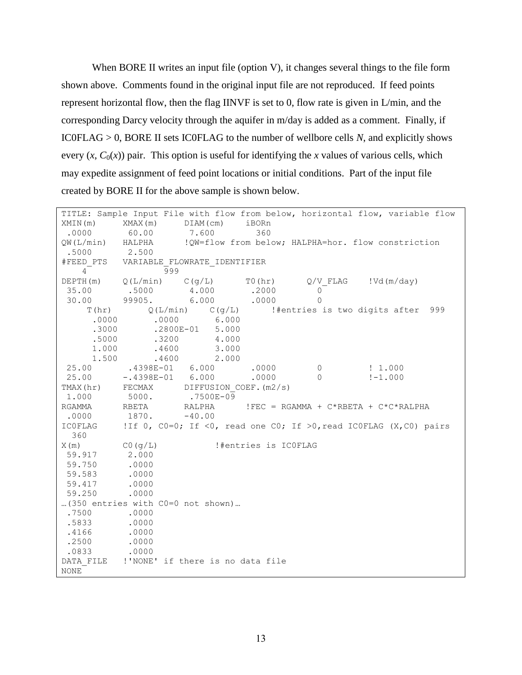When BORE II writes an input file (option V), it changes several things to the file form shown above. Comments found in the original input file are not reproduced. If feed points represent horizontal flow, then the flag IINVF is set to 0, flow rate is given in L/min, and the corresponding Darcy velocity through the aquifer in m/day is added as a comment. Finally, if IC0FLAG > 0, BORE II sets IC0FLAG to the number of wellbore cells *N*, and explicitly shows every  $(x, C_0(x))$  pair. This option is useful for identifying the *x* values of various cells, which may expedite assignment of feed point locations or initial conditions. Part of the input file created by BORE II for the above sample is shown below.

|                                        |                      |                                  |                      |                                                         | TITLE: Sample Input File with flow from below, horizontal flow, variable flow |
|----------------------------------------|----------------------|----------------------------------|----------------------|---------------------------------------------------------|-------------------------------------------------------------------------------|
| XMIN(m)                                | $XMAX(m)$ $DIAM(cm)$ |                                  | iBORn                |                                                         |                                                                               |
| .0000                                  | 60.00                | 7.600                            | 360                  |                                                         |                                                                               |
| QW(L/min) HALPHA                       |                      |                                  |                      |                                                         | !QW=flow from below; HALPHA=hor. flow constriction                            |
| .5000                                  | 2.500                |                                  |                      |                                                         |                                                                               |
| #FEED PTS VARIABLE FLOWRATE IDENTIFIER |                      |                                  |                      |                                                         |                                                                               |
| $4\overline{ }$                        | 999                  |                                  |                      |                                                         |                                                                               |
|                                        |                      |                                  |                      | DEPTH(m) $Q(L/min)$ C(g/L) T0(hr) $Q/V$ FLAG !Vd(m/day) |                                                                               |
| 35.00                                  |                      | $.5000$ 4.000 .2000              |                      | $\circ$                                                 |                                                                               |
|                                        |                      | 30.00 99905. 6.000 .0000         |                      | $\Omega$                                                |                                                                               |
|                                        |                      |                                  |                      |                                                         | $T(hr)$ Q(L/min) C(g/L) !#entries is two digits after 999                     |
|                                        |                      | $.0000$ .0000 6.000              |                      |                                                         |                                                                               |
|                                        |                      | .3000 .2800E-01 5.000            |                      |                                                         |                                                                               |
|                                        | $.5000$ .3200        | 4.000                            |                      |                                                         |                                                                               |
| 1.000                                  |                      | $.4600$ 3.000                    |                      |                                                         |                                                                               |
| 1.500                                  |                      | $.4600$ 2.000                    |                      |                                                         |                                                                               |
| 25.00                                  | $.4398E - 01$ 6.000  |                                  | .0000                | $\overline{0}$                                          | $\frac{1}{2}$ 1.000                                                           |
| 25.00                                  |                      | $-.4398E-01$ 6.000               | .0000                | $\Omega$                                                | $! - 1.000$                                                                   |
| TMAX(hr) FECMAX DIFFUSION COEF. (m2/s) |                      |                                  |                      |                                                         |                                                                               |
| 1.000                                  | 5000. . 7500E-09     |                                  |                      |                                                         |                                                                               |
| RGAMMA                                 | <b>RBETA</b>         |                                  |                      |                                                         | RALPHA $!$ FEC = RGAMMA + C*RBETA + C*C*RALPHA                                |
| .0000                                  | $1870. -40.00$       |                                  |                      |                                                         |                                                                               |
| <b>ICOFLAG</b>                         |                      |                                  |                      |                                                         | !If 0, CO=0; If <0, read one CO; If >0, read ICOFLAG (X,CO) pairs             |
| 360                                    |                      |                                  |                      |                                                         |                                                                               |
| X(m)                                   | CO (g/L)             |                                  | !#entries is ICOFLAG |                                                         |                                                                               |
| 59.917                                 | 2.000                |                                  |                      |                                                         |                                                                               |
| 59.750                                 | .0000                |                                  |                      |                                                         |                                                                               |
| 59.583 .0000                           |                      |                                  |                      |                                                         |                                                                               |
| 59.417                                 | .0000                |                                  |                      |                                                         |                                                                               |
| 59.250                                 | .0000                |                                  |                      |                                                         |                                                                               |
| (350 entries with C0=0 not shown)      |                      |                                  |                      |                                                         |                                                                               |
| .7500                                  | .0000                |                                  |                      |                                                         |                                                                               |
| .5833                                  | .0000                |                                  |                      |                                                         |                                                                               |
| .4166                                  | .0000                |                                  |                      |                                                         |                                                                               |
| .2500                                  | .0000                |                                  |                      |                                                         |                                                                               |
| .0833                                  | .0000                |                                  |                      |                                                         |                                                                               |
| DATA FILE                              |                      | !'NONE' if there is no data file |                      |                                                         |                                                                               |
| NONE                                   |                      |                                  |                      |                                                         |                                                                               |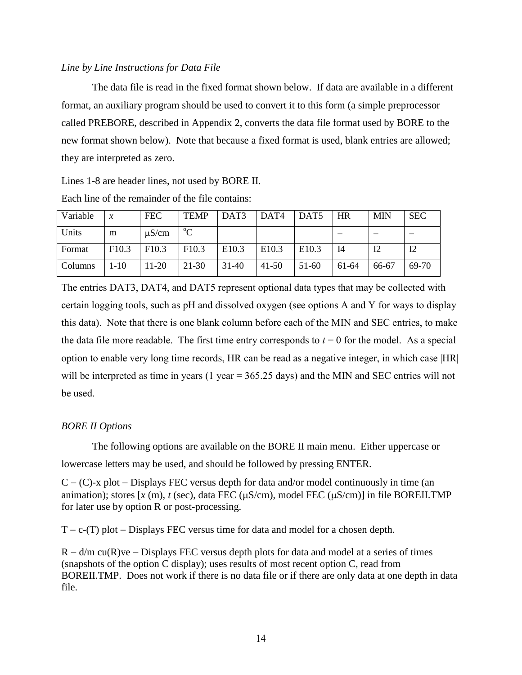## *Line by Line Instructions for Data File*

The data file is read in the fixed format shown below. If data are available in a different format, an auxiliary program should be used to convert it to this form (a simple preprocessor called PREBORE, described in Appendix 2, converts the data file format used by BORE to the new format shown below). Note that because a fixed format is used, blank entries are allowed; they are interpreted as zero.

Lines 1-8 are header lines, not used by BORE II.

| Variable | $\mathcal{X}$     | <b>FEC</b>        | <b>TEMP</b>       | DAT3    | DAT <sub>4</sub>  | DAT <sub>5</sub>  | <b>HR</b> | <b>MIN</b> | <b>SEC</b> |
|----------|-------------------|-------------------|-------------------|---------|-------------------|-------------------|-----------|------------|------------|
| Units    | m                 | $\mu$ S/cm        | $\rm ^{o}C$       |         |                   |                   |           |            |            |
| Format   | F <sub>10.3</sub> | F <sub>10.3</sub> | F <sub>10.3</sub> | E10.3   | E <sub>10.3</sub> | E <sub>10.3</sub> | I4        | 12         | 12         |
| Columns  | $-10$             | 11-20             | 21-30             | $31-40$ | $41 - 50$         | 51-60             | 61-64     | 66-67      | 69-70      |

Each line of the remainder of the file contains:

The entries DAT3, DAT4, and DAT5 represent optional data types that may be collected with certain logging tools, such as pH and dissolved oxygen (see options A and Y for ways to display this data). Note that there is one blank column before each of the MIN and SEC entries, to make the data file more readable. The first time entry corresponds to  $t = 0$  for the model. As a special option to enable very long time records, HR can be read as a negative integer, in which case |HR| will be interpreted as time in years (1 year =  $365.25$  days) and the MIN and SEC entries will not be used.

# *BORE II Options*

The following options are available on the BORE II main menu. Either uppercase or lowercase letters may be used, and should be followed by pressing ENTER.

 $C - (C)$ -x plot – Displays FEC versus depth for data and/or model continuously in time (an animation); stores  $[x (m), t (sec), data FEC (\mu S/cm), model FEC (\mu S/cm)]$  in file BOREII.TMP for later use by option R or post-processing.

 $T - c$ -(T) plot  $-\text{Displays FEC}$  versus time for data and model for a chosen depth.

 $R - d/m$  cu(R)ve – Displays FEC versus depth plots for data and model at a series of times (snapshots of the option C display); uses results of most recent option C, read from BOREII.TMP. Does not work if there is no data file or if there are only data at one depth in data file.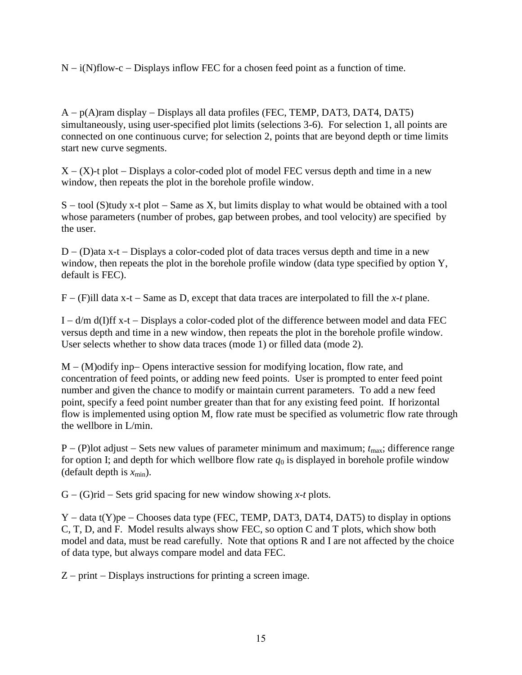$N - i(N)$ flow-c – Displays inflow FEC for a chosen feed point as a function of time.

 $A - p(A)$ ram display  $-$  Displays all data profiles (FEC, TEMP, DAT3, DAT4, DAT5) simultaneously, using user-specified plot limits (selections 3-6). For selection 1, all points are connected on one continuous curve; for selection 2, points that are beyond depth or time limits start new curve segments.

 $X - (X)$ -t plot  $-$  Displays a color-coded plot of model FEC versus depth and time in a new window, then repeats the plot in the borehole profile window.

 $S - \text{tool } (S)$ tudy x-t plot  $-S$ ame as X, but limits display to what would be obtained with a tool whose parameters (number of probes, gap between probes, and tool velocity) are specified by the user.

 $D - (D)$ ata x-t – Displays a color-coded plot of data traces versus depth and time in a new window, then repeats the plot in the borehole profile window (data type specified by option Y, default is FEC).

 $F - (F)$ ill data x-t – Same as D, except that data traces are interpolated to fill the *x-t* plane.

 $I - d/m d(I)$   $X-t$  - Displays a color-coded plot of the difference between model and data FEC versus depth and time in a new window, then repeats the plot in the borehole profile window. User selects whether to show data traces (mode 1) or filled data (mode 2).

 $M - (M)$ odify inp-Opens interactive session for modifying location, flow rate, and concentration of feed points, or adding new feed points. User is prompted to enter feed point number and given the chance to modify or maintain current parameters. To add a new feed point, specify a feed point number greater than that for any existing feed point. If horizontal flow is implemented using option M, flow rate must be specified as volumetric flow rate through the wellbore in L/min.

 $P - (P)$ lot adjust – Sets new values of parameter minimum and maximum;  $t_{\text{max}}$ ; difference range for option I; and depth for which wellbore flow rate  $q_0$  is displayed in borehole profile window (default depth is  $x_{\min}$ ).

 $G - (G)$ rid – Sets grid spacing for new window showing *x-t* plots.

Y – data t(Y)pe – Chooses data type (FEC, TEMP, DAT3, DAT4, DAT5) to display in options C, T, D, and F. Model results always show FEC, so option C and T plots, which show both model and data, must be read carefully. Note that options R and I are not affected by the choice of data type, but always compare model and data FEC.

 $Z$  – print – Displays instructions for printing a screen image.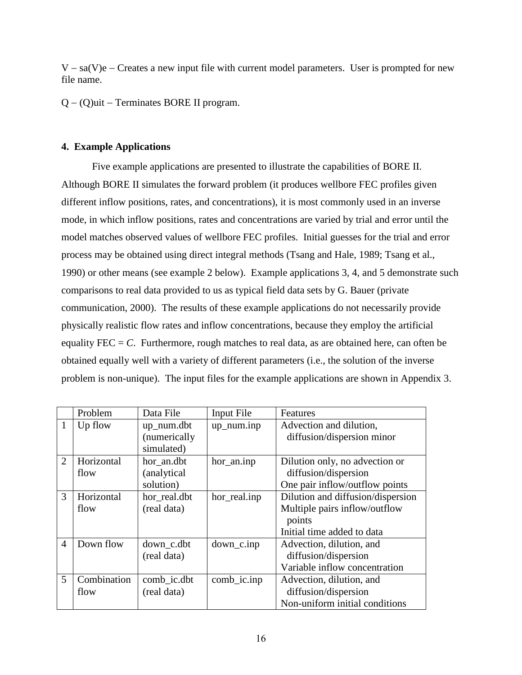$V - sa(V)e$  – Creates a new input file with current model parameters. User is prompted for new file name.

 $Q - (Q)$ uit – Terminates BORE II program.

# **4. Example Applications**

Five example applications are presented to illustrate the capabilities of BORE II. Although BORE II simulates the forward problem (it produces wellbore FEC profiles given different inflow positions, rates, and concentrations), it is most commonly used in an inverse mode, in which inflow positions, rates and concentrations are varied by trial and error until the model matches observed values of wellbore FEC profiles. Initial guesses for the trial and error process may be obtained using direct integral methods (Tsang and Hale, 1989; Tsang et al., 1990) or other means (see example 2 below). Example applications 3, 4, and 5 demonstrate such comparisons to real data provided to us as typical field data sets by G. Bauer (private communication, 2000). The results of these example applications do not necessarily provide physically realistic flow rates and inflow concentrations, because they employ the artificial equality  $FEC = C$ . Furthermore, rough matches to real data, as are obtained here, can often be obtained equally well with a variety of different parameters (i.e., the solution of the inverse problem is non-unique). The input files for the example applications are shown in Appendix 3.

|                | Problem     | Data File    | Input File              | Features                          |
|----------------|-------------|--------------|-------------------------|-----------------------------------|
| 1              | Up flow     | up_num.dbt   | $up$ <sub>num.inp</sub> | Advection and dilution,           |
|                |             | (numerically |                         | diffusion/dispersion minor        |
|                |             | simulated)   |                         |                                   |
| $\overline{2}$ | Horizontal  | hor_an.dbt   | hor_an.inp              | Dilution only, no advection or    |
|                | flow        | (analytical) |                         | diffusion/dispersion              |
|                |             | solution)    |                         | One pair inflow/outflow points    |
| 3              | Horizontal  | hor_real.dbt | hor_real.inp            | Dilution and diffusion/dispersion |
|                | flow        | (real data)  |                         | Multiple pairs inflow/outflow     |
|                |             |              |                         | points                            |
|                |             |              |                         | Initial time added to data        |
| $\overline{4}$ | Down flow   | down_c.dbt   | $down\_c.info$          | Advection, dilution, and          |
|                |             | (real data)  |                         | diffusion/dispersion              |
|                |             |              |                         | Variable inflow concentration     |
| 5              | Combination | comb_ic.dbt  | $comb_i$ .inp           | Advection, dilution, and          |
|                | flow        | (real data)  |                         | diffusion/dispersion              |
|                |             |              |                         | Non-uniform initial conditions    |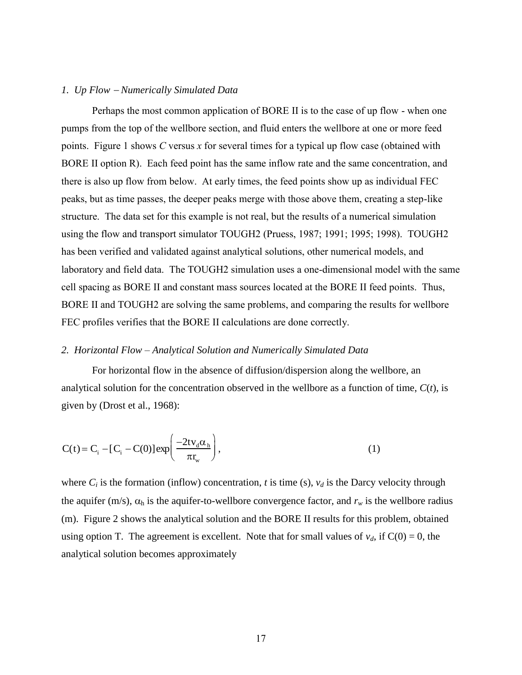#### *1. Up Flow Numerically Simulated Data*

Perhaps the most common application of BORE II is to the case of up flow - when one pumps from the top of the wellbore section, and fluid enters the wellbore at one or more feed points. Figure 1 shows *C* versus *x* for several times for a typical up flow case (obtained with BORE II option R). Each feed point has the same inflow rate and the same concentration, and there is also up flow from below. At early times, the feed points show up as individual FEC peaks, but as time passes, the deeper peaks merge with those above them, creating a step-like structure. The data set for this example is not real, but the results of a numerical simulation using the flow and transport simulator TOUGH2 (Pruess, 1987; 1991; 1995; 1998). TOUGH2 has been verified and validated against analytical solutions, other numerical models, and laboratory and field data. The TOUGH2 simulation uses a one-dimensional model with the same cell spacing as BORE II and constant mass sources located at the BORE II feed points. Thus, BORE II and TOUGH2 are solving the same problems, and comparing the results for wellbore FEC profiles verifies that the BORE II calculations are done correctly.

#### *2. Horizontal Flow – Analytical Solution and Numerically Simulated Data*

For horizontal flow in the absence of diffusion/dispersion along the wellbore, an analytical solution for the concentration observed in the wellbore as a function of time, *C*(*t*), is given by (Drost et al., 1968):

$$
C(t) = C_{i} - [C_{i} - C(0)] \exp\left(\frac{-2tv_{d}\alpha_{h}}{\pi r_{w}}\right),
$$
\n(1)

where  $C_i$  is the formation (inflow) concentration, *t* is time (s),  $v_d$  is the Darcy velocity through the aquifer (m/s),  $\alpha_h$  is the aquifer-to-wellbore convergence factor, and  $r_w$  is the wellbore radius (m). Figure 2 shows the analytical solution and the BORE II results for this problem, obtained using option T. The agreement is excellent. Note that for small values of  $v_d$ , if  $C(0) = 0$ , the analytical solution becomes approximately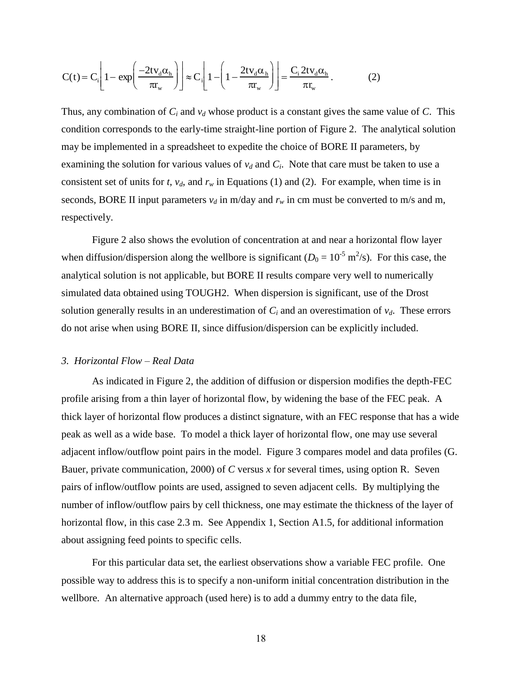$$
C(t) = C_i \left[ 1 - \exp\left(\frac{-2tv_d \alpha_h}{\pi r_w}\right) \right] \approx C_i \left[ 1 - \left( 1 - \frac{2tv_d \alpha_h}{\pi r_w}\right) \right] = \frac{C_i 2tv_d \alpha_h}{\pi r_w}.
$$
 (2)

Thus, any combination of *C<sup>i</sup>* and *v<sup>d</sup>* whose product is a constant gives the same value of *C*. This condition corresponds to the early-time straight-line portion of Figure 2. The analytical solution may be implemented in a spreadsheet to expedite the choice of BORE II parameters, by examining the solution for various values of  $v_d$  and  $C_i$ . Note that care must be taken to use a consistent set of units for *t*,  $v_d$ , and  $r_w$  in Equations (1) and (2). For example, when time is in seconds, BORE II input parameters  $v_d$  in m/day and  $r_w$  in cm must be converted to m/s and m, respectively.

Figure 2 also shows the evolution of concentration at and near a horizontal flow layer when diffusion/dispersion along the wellbore is significant  $(D_0 = 10^{-5} \text{ m}^2/\text{s})$ . For this case, the analytical solution is not applicable, but BORE II results compare very well to numerically simulated data obtained using TOUGH2. When dispersion is significant, use of the Drost solution generally results in an underestimation of  $C_i$  and an overestimation of  $v_d$ . These errors do not arise when using BORE II, since diffusion/dispersion can be explicitly included.

#### *3. Horizontal Flow – Real Data*

 $C(t) = C_{i\frac{1}{2}}[1 - \exp\left(-\frac{2\kappa_{i\frac{1}{2}}\kappa_{i\frac{1}{2}}\kappa_{i\frac{1}{2}}}{\pi_{i\frac{1}{2}}}\right)] \approx C_{i\frac{1}{2}}[1 - (1 - \frac{2\kappa_{i\frac{1}{2}}\kappa_{i\frac{1}{2}}\kappa_{i\frac{1}{2}}\kappa_{i\frac{1}{2}}\kappa_{i\frac{1}{2}}\kappa_{i\frac{1}{2}}]$ <br>
Thus, any combination of *C<sub>i</sub>* and  $\nu_d$  who As indicated in Figure 2, the addition of diffusion or dispersion modifies the depth-FEC profile arising from a thin layer of horizontal flow, by widening the base of the FEC peak. A thick layer of horizontal flow produces a distinct signature, with an FEC response that has a wide peak as well as a wide base. To model a thick layer of horizontal flow, one may use several adjacent inflow/outflow point pairs in the model. Figure 3 compares model and data profiles (G. Bauer, private communication, 2000) of *C* versus *x* for several times, using option R. Seven pairs of inflow/outflow points are used, assigned to seven adjacent cells. By multiplying the number of inflow/outflow pairs by cell thickness, one may estimate the thickness of the layer of horizontal flow, in this case 2.3 m. See Appendix 1, Section A1.5, for additional information about assigning feed points to specific cells.

For this particular data set, the earliest observations show a variable FEC profile. One possible way to address this is to specify a non-uniform initial concentration distribution in the wellbore. An alternative approach (used here) is to add a dummy entry to the data file,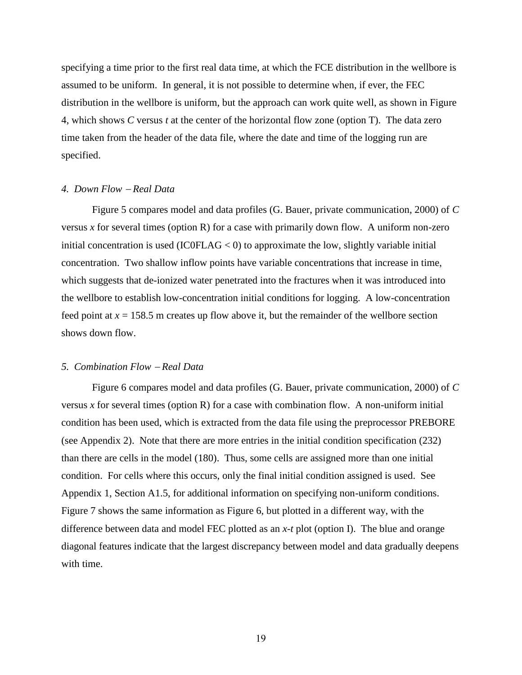specifying a time prior to the first real data time, at which the FCE distribution in the wellbore is assumed to be uniform. In general, it is not possible to determine when, if ever, the FEC distribution in the wellbore is uniform, but the approach can work quite well, as shown in Figure 4, which shows *C* versus *t* at the center of the horizontal flow zone (option T). The data zero time taken from the header of the data file, where the date and time of the logging run are specified.

#### *4. Down Flow Real Data*

Figure 5 compares model and data profiles (G. Bauer, private communication, 2000) of *C* versus  $x$  for several times (option R) for a case with primarily down flow. A uniform non-zero initial concentration is used  $(ICOFLAG < 0)$  to approximate the low, slightly variable initial concentration. Two shallow inflow points have variable concentrations that increase in time, which suggests that de-ionized water penetrated into the fractures when it was introduced into the wellbore to establish low-concentration initial conditions for logging. A low-concentration feed point at  $x = 158.5$  m creates up flow above it, but the remainder of the wellbore section shows down flow.

#### *5. Combination Flow Real Data*

Figure 6 compares model and data profiles (G. Bauer, private communication, 2000) of *C* versus *x* for several times (option R) for a case with combination flow. A non-uniform initial condition has been used, which is extracted from the data file using the preprocessor PREBORE (see Appendix 2). Note that there are more entries in the initial condition specification (232) than there are cells in the model (180). Thus, some cells are assigned more than one initial condition. For cells where this occurs, only the final initial condition assigned is used. See Appendix 1, Section A1.5, for additional information on specifying non-uniform conditions. Figure 7 shows the same information as Figure 6, but plotted in a different way, with the difference between data and model FEC plotted as an *x-t* plot (option I). The blue and orange diagonal features indicate that the largest discrepancy between model and data gradually deepens with time.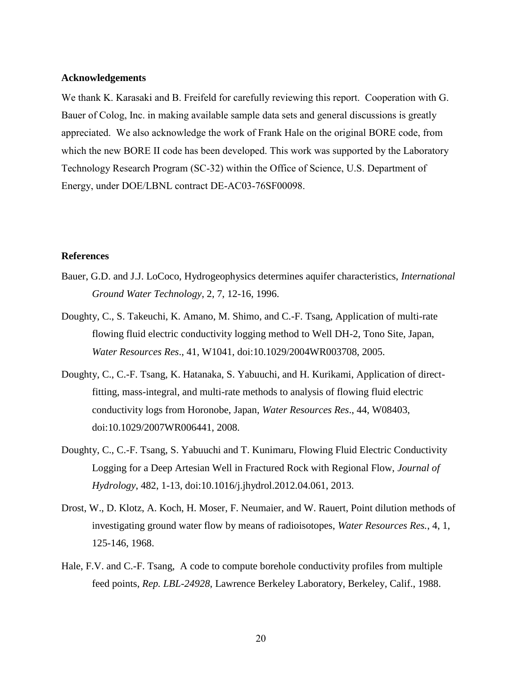#### **Acknowledgements**

We thank K. Karasaki and B. Freifeld for carefully reviewing this report. Cooperation with G. Bauer of Colog, Inc. in making available sample data sets and general discussions is greatly appreciated. We also acknowledge the work of Frank Hale on the original BORE code, from which the new BORE II code has been developed. This work was supported by the Laboratory Technology Research Program (SC-32) within the Office of Science, U.S. Department of Energy, under DOE/LBNL contract DE-AC03-76SF00098.

#### **References**

- Bauer, G.D. and J.J. LoCoco, Hydrogeophysics determines aquifer characteristics, *International Ground Water Technology*, 2, 7, 12-16, 1996.
- Doughty, C., S. Takeuchi, K. Amano, M. Shimo, and C.-F. Tsang, Application of multi-rate flowing fluid electric conductivity logging method to Well DH-2, Tono Site, Japan, *Water Resources Res*., 41, W1041, doi:10.1029/2004WR003708, 2005.
- Doughty, C., C.-F. Tsang, K. Hatanaka, S. Yabuuchi, and H. Kurikami, Application of directfitting, mass-integral, and multi-rate methods to analysis of flowing fluid electric conductivity logs from Horonobe, Japan, *Water Resources Res*., 44, W08403, doi:10.1029/2007WR006441, 2008.
- Doughty, C., C.-F. Tsang, S. Yabuuchi and T. Kunimaru, Flowing Fluid Electric Conductivity Logging for a Deep Artesian Well in Fractured Rock with Regional Flow, *Journal of Hydrology*, 482, 1-13, doi:10.1016/j.jhydrol.2012.04.061, 2013.
- Drost, W., D. Klotz, A. Koch, H. Moser, F. Neumaier, and W. Rauert, Point dilution methods of investigating ground water flow by means of radioisotopes, *Water Resources Res.*, 4, 1, 125-146, 1968.
- Hale, F.V. and C.-F. Tsang, A code to compute borehole conductivity profiles from multiple feed points, *Rep. LBL-24928*, Lawrence Berkeley Laboratory, Berkeley, Calif., 1988.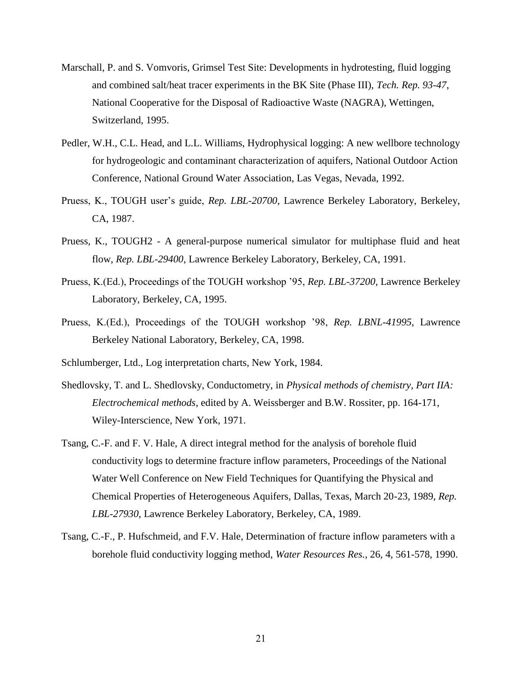- Marschall, P. and S. Vomvoris, Grimsel Test Site: Developments in hydrotesting, fluid logging and combined salt/heat tracer experiments in the BK Site (Phase III), *Tech. Rep. 93-47*, National Cooperative for the Disposal of Radioactive Waste (NAGRA), Wettingen, Switzerland, 1995.
- Pedler, W.H., C.L. Head, and L.L. Williams, Hydrophysical logging: A new wellbore technology for hydrogeologic and contaminant characterization of aquifers, National Outdoor Action Conference, National Ground Water Association, Las Vegas, Nevada, 1992.
- Pruess, K., TOUGH user's guide, *Rep. LBL-20700*, Lawrence Berkeley Laboratory, Berkeley, CA, 1987.
- Pruess, K., TOUGH2 A general-purpose numerical simulator for multiphase fluid and heat flow, *Rep. LBL-29400*, Lawrence Berkeley Laboratory, Berkeley, CA, 1991.
- Pruess, K.(Ed.), Proceedings of the TOUGH workshop '95, *Rep. LBL-37200*, Lawrence Berkeley Laboratory, Berkeley, CA, 1995.
- Pruess, K.(Ed.), Proceedings of the TOUGH workshop '98, *Rep. LBNL-41995*, Lawrence Berkeley National Laboratory, Berkeley, CA, 1998.
- Schlumberger, Ltd., Log interpretation charts, New York, 1984.
- Shedlovsky, T. and L. Shedlovsky, Conductometry, in *Physical methods of chemistry, Part IIA: Electrochemical methods*, edited by A. Weissberger and B.W. Rossiter, pp. 164-171, Wiley-Interscience, New York, 1971.
- Tsang, C.-F. and F. V. Hale, A direct integral method for the analysis of borehole fluid conductivity logs to determine fracture inflow parameters, Proceedings of the National Water Well Conference on New Field Techniques for Quantifying the Physical and Chemical Properties of Heterogeneous Aquifers, Dallas, Texas, March 20-23, 1989, *Rep. LBL-27930*, Lawrence Berkeley Laboratory, Berkeley, CA, 1989.
- Tsang, C.-F., P. Hufschmeid, and F.V. Hale, Determination of fracture inflow parameters with a borehole fluid conductivity logging method, *Water Resources Res.*, 26, 4, 561-578, 1990.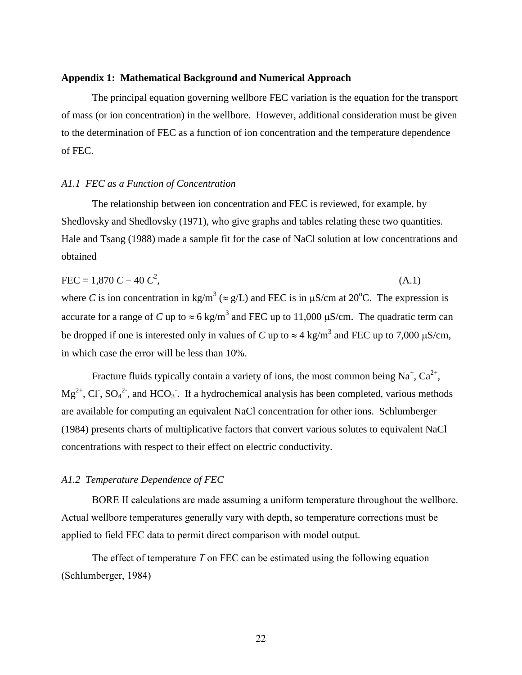#### **Appendix 1: Mathematical Background and Numerical Approach**

The principal equation governing wellbore FEC variation is the equation for the transport of mass (or ion concentration) in the wellbore. However, additional consideration must be given to the determination of FEC as a function of ion concentration and the temperature dependence of FEC.

#### *A1.1 FEC as a Function of Concentration*

The relationship between ion concentration and FEC is reviewed, for example, by Shedlovsky and Shedlovsky (1971), who give graphs and tables relating these two quantities. Hale and Tsang (1988) made a sample fit for the case of NaCl solution at low concentrations and obtained

$$
FEC = 1,870 C - 40 C2,
$$
 (A.1)  
where *C* is ion concentration in kg/m<sup>3</sup> (≈ g/L) and FEC is in μS/cm at 20°C. The expression is  
accurate for a range of *C* up to ≈ 6 kg/m<sup>3</sup> and FEC up to 11,000 μS/cm. The quadratic term can  
be dropped if one is interested only in values of *C* up to ≈ 4 kg/m<sup>3</sup> and FEC up to 7,000 μS/cm,  
in which case the error will be less than 10%.

Fracture fluids typically contain a variety of ions, the most common being Na<sup>+</sup>, Ca<sup>2+</sup>,  $Mg^{2+}$ , Cl<sup>-</sup>, SO<sub>4</sub><sup>2-</sup>, and HCO<sub>3</sub><sup>-</sup>. If a hydrochemical analysis has been completed, various methods are available for computing an equivalent NaCl concentration for other ions. Schlumberger (1984) presents charts of multiplicative factors that convert various solutes to equivalent NaCl concentrations with respect to their effect on electric conductivity.

#### *A1.2 Temperature Dependence of FEC*

BORE II calculations are made assuming a uniform temperature throughout the wellbore. Actual wellbore temperatures generally vary with depth, so temperature corrections must be applied to field FEC data to permit direct comparison with model output.

The effect of temperature *T* on FEC can be estimated using the following equation (Schlumberger, 1984)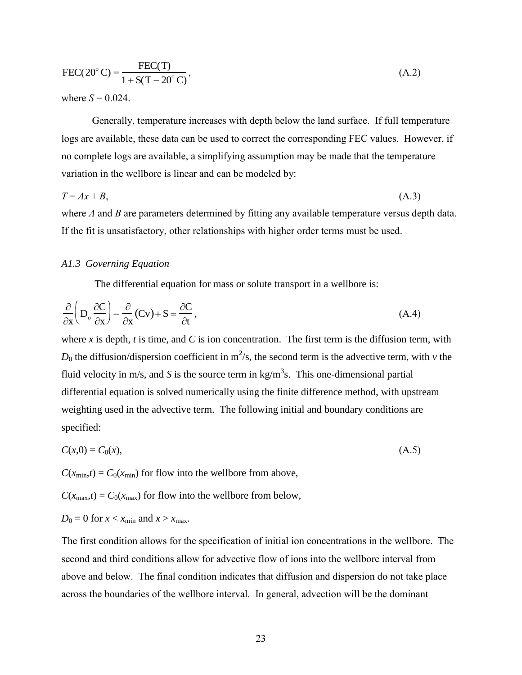$$
FEC(20^{\circ}C) = \frac{FEC(T)}{1 + S(T - 20^{\circ}C)},
$$
\n(A.2)

where  $S = 0.024$ .

Generally, temperature increases with depth below the land surface. If full temperature logs are available, these data can be used to correct the corresponding FEC values. However, if no complete logs are available, a simplifying assumption may be made that the temperature variation in the wellbore is linear and can be modeled by:

$$
T = Ax + B,\tag{A.3}
$$

where *A* and *B* are parameters determined by fitting any available temperature versus depth data. If the fit is unsatisfactory, other relationships with higher order terms must be used.

## *A1.3 Governing Equation*

The differential equation for mass or solute transport in a wellbore is:

$$
\frac{\partial}{\partial x} \left( D_o \frac{\partial C}{\partial x} \right) - \frac{\partial}{\partial x} (Cv) + S = \frac{\partial C}{\partial t}, \tag{A.4}
$$

FEC(20<sup>o</sup> C) =  $\frac{\text{L2C-11}}{1+\text{S(T-20^{\circ} C)}}$ ,<br>where  $S = 0.024$ .<br>Generally, temperature increases with deplogs are available, these data can be used to correct<br>no complete logs are available, a simplifying assu<br>variation where *x* is depth, *t* is time, and *C* is ion concentration. The first term is the diffusion term, with  $D_0$  the diffusion/dispersion coefficient in m<sup>2</sup>/s, the second term is the advective term, with *v* the fluid velocity in m/s, and S is the source term in  $kg/m<sup>3</sup>$ s. This one-dimensional partial differential equation is solved numerically using the finite difference method, with upstream weighting used in the advective term. The following initial and boundary conditions are specified:

$$
C(x,0) = C_0(x),\tag{A.5}
$$

 $C(x_{\text{min}},t) = C_0(x_{\text{min}})$  for flow into the wellbore from above,

 $C(x_{\text{max}},t) = C_0(x_{\text{max}})$  for flow into the wellbore from below,

$$
D_0 = 0
$$
 for  $x < x_{\text{min}}$  and  $x > x_{\text{max}}$ .

The first condition allows for the specification of initial ion concentrations in the wellbore. The second and third conditions allow for advective flow of ions into the wellbore interval from above and below. The final condition indicates that diffusion and dispersion do not take place across the boundaries of the wellbore interval. In general, advection will be the dominant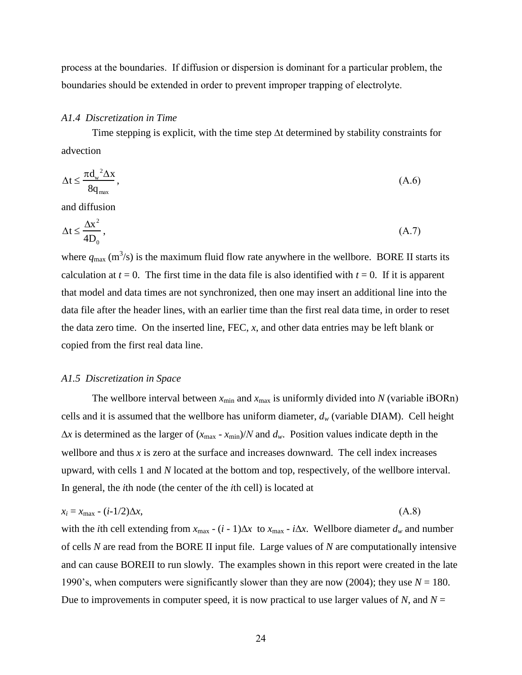process at the boundaries. If diffusion or dispersion is dominant for a particular problem, the boundaries should be extended in order to prevent improper trapping of electrolyte.

#### *A1.4 Discretization in Time*

Time stepping is explicit, with the time step  $\Delta t$  determined by stability constraints for advection

$$
\Delta t \le \frac{\pi d_w^2 \Delta x}{8q_{\text{max}}},\tag{A.6}
$$

and diffusion

$$
\Delta t \le \frac{\Delta x^2}{4D_0},\tag{A.7}
$$

where  $q_{\text{max}}$  (m<sup>3</sup>/s) is the maximum fluid flow rate anywhere in the wellbore. BORE II starts its calculation at  $t = 0$ . The first time in the data file is also identified with  $t = 0$ . If it is apparent that model and data times are not synchronized, then one may insert an additional line into the data file after the header lines, with an earlier time than the first real data time, in order to reset the data zero time. On the inserted line, FEC, *x*, and other data entries may be left blank or copied from the first real data line.

#### *A1.5 Discretization in Space*

The wellbore interval between  $x_{\text{min}}$  and  $x_{\text{max}}$  is uniformly divided into *N* (variable iBORn) cells and it is assumed that the wellbore has uniform diameter,  $d_w$  (variable DIAM). Cell height  $\Delta x$  is determined as the larger of  $(x_{\text{max}} - x_{\text{min}})/N$  and  $d_w$ . Position values indicate depth in the wellbore and thus x is zero at the surface and increases downward. The cell index increases upward, with cells 1 and *N* located at the bottom and top, respectively, of the wellbore interval. In general, the *i*th node (the center of the *i*th cell) is located at

$$
x_i = x_{\text{max}} - (i-1/2)\Delta x,\tag{A.8}
$$

with the *i*th cell extending from  $x_{\text{max}} - (i - 1)\Delta x$  to  $x_{\text{max}} - i\Delta x$ . Wellbore diameter  $d_w$  and number of cells *N* are read from the BORE II input file. Large values of *N* are computationally intensive and can cause BOREII to run slowly. The examples shown in this report were created in the late 1990's, when computers were significantly slower than they are now (2004); they use *N* = 180. Due to improvements in computer speed, it is now practical to use larger values of  $N$ , and  $N =$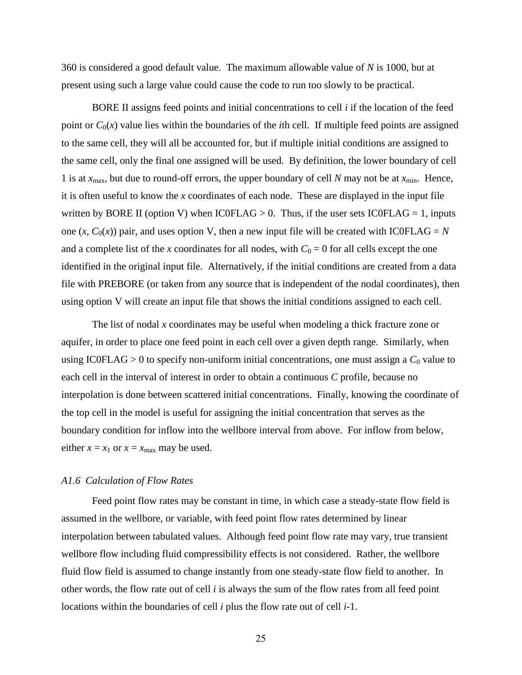360 is considered a good default value. The maximum allowable value of *N* is 1000, but at present using such a large value could cause the code to run too slowly to be practical.

BORE II assigns feed points and initial concentrations to cell *i* if the location of the feed point or  $C_0(x)$  value lies within the boundaries of the *i*th cell. If multiple feed points are assigned to the same cell, they will all be accounted for, but if multiple initial conditions are assigned to the same cell, only the final one assigned will be used. By definition, the lower boundary of cell 1 is at  $x_{\text{max}}$ , but due to round-off errors, the upper boundary of cell *N* may not be at  $x_{\text{min}}$ . Hence, it is often useful to know the *x* coordinates of each node. These are displayed in the input file written by BORE II (option V) when  $IC0FLAG > 0$ . Thus, if the user sets  $IC0FLAG = 1$ , inputs one  $(x, C_0(x))$  pair, and uses option V, then a new input file will be created with IC0FLAG = *N* and a complete list of the *x* coordinates for all nodes, with  $C_0 = 0$  for all cells except the one identified in the original input file. Alternatively, if the initial conditions are created from a data file with PREBORE (or taken from any source that is independent of the nodal coordinates), then using option V will create an input file that shows the initial conditions assigned to each cell.

The list of nodal *x* coordinates may be useful when modeling a thick fracture zone or aquifer, in order to place one feed point in each cell over a given depth range. Similarly, when using IC0FLAG  $> 0$  to specify non-uniform initial concentrations, one must assign a  $C_0$  value to each cell in the interval of interest in order to obtain a continuous *C* profile, because no interpolation is done between scattered initial concentrations. Finally, knowing the coordinate of the top cell in the model is useful for assigning the initial concentration that serves as the boundary condition for inflow into the wellbore interval from above. For inflow from below, either  $x = x_1$  or  $x = x_{\text{max}}$  may be used.

# *A1.6 Calculation of Flow Rates*

Feed point flow rates may be constant in time, in which case a steady-state flow field is assumed in the wellbore, or variable, with feed point flow rates determined by linear interpolation between tabulated values. Although feed point flow rate may vary, true transient wellbore flow including fluid compressibility effects is not considered. Rather, the wellbore fluid flow field is assumed to change instantly from one steady-state flow field to another. In other words, the flow rate out of cell *i* is always the sum of the flow rates from all feed point locations within the boundaries of cell *i* plus the flow rate out of cell *i*-1.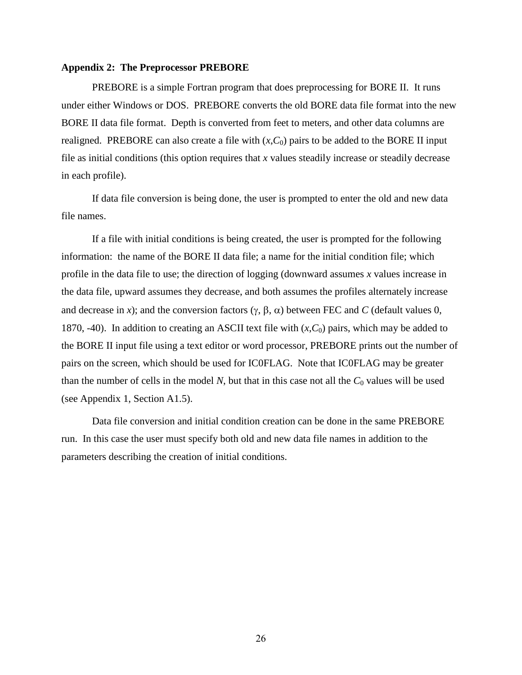#### **Appendix 2: The Preprocessor PREBORE**

PREBORE is a simple Fortran program that does preprocessing for BORE II. It runs under either Windows or DOS. PREBORE converts the old BORE data file format into the new BORE II data file format. Depth is converted from feet to meters, and other data columns are realigned. PREBORE can also create a file with  $(x, C_0)$  pairs to be added to the BORE II input file as initial conditions (this option requires that *x* values steadily increase or steadily decrease in each profile).

If data file conversion is being done, the user is prompted to enter the old and new data file names.

If a file with initial conditions is being created, the user is prompted for the following information: the name of the BORE II data file; a name for the initial condition file; which profile in the data file to use; the direction of logging (downward assumes *x* values increase in the data file, upward assumes they decrease, and both assumes the profiles alternately increase and decrease in *x*); and the conversion factors  $(\gamma, \beta, \alpha)$  between FEC and *C* (default values 0, 1870, -40). In addition to creating an ASCII text file with  $(x, C_0)$  pairs, which may be added to the BORE II input file using a text editor or word processor, PREBORE prints out the number of pairs on the screen, which should be used for IC0FLAG. Note that IC0FLAG may be greater than the number of cells in the model  $N$ , but that in this case not all the  $C_0$  values will be used (see Appendix 1, Section A1.5).

Data file conversion and initial condition creation can be done in the same PREBORE run. In this case the user must specify both old and new data file names in addition to the parameters describing the creation of initial conditions.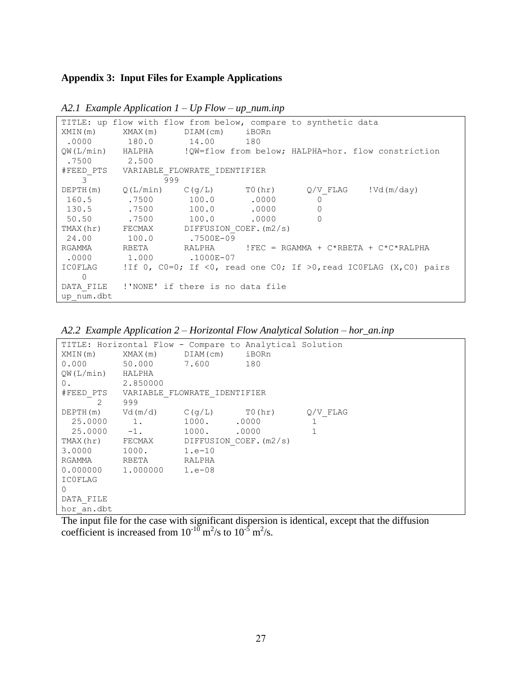# **Appendix 3: Input Files for Example Applications**

|               |                                            |       |       | TITLE: up flow with flow from below, compare to synthetic data |                                                                                       |
|---------------|--------------------------------------------|-------|-------|----------------------------------------------------------------|---------------------------------------------------------------------------------------|
| XMIN(m)       | XMAX(m) DIAM(cm) iBORn                     |       |       |                                                                |                                                                                       |
|               | $.0000$ 180.0 14.00 180                    |       |       |                                                                |                                                                                       |
|               |                                            |       |       |                                                                | OW(L/min) HALPHA : !OW=flow from below; HALPHA=hor. flow constriction                 |
| $.7500$ 2.500 |                                            |       |       |                                                                |                                                                                       |
|               | #FEED PTS VARIABLE FLOWRATE IDENTIFIER     |       |       |                                                                |                                                                                       |
| $\mathcal{E}$ | 999                                        |       |       |                                                                |                                                                                       |
|               | $DEPTH(m)$ $Q(L/min)$ $C(q/L)$ $T0(hr)$    |       |       |                                                                | $Q/V$ FLAG $!Vd(m/day)$                                                               |
|               | 160.5 .7500                                | 100.0 | .0000 | $\circ$                                                        |                                                                                       |
| 130.5         | .7500                                      | 100.0 | .0000 | $\mathbf 0$                                                    |                                                                                       |
| 50.50         | .7500                                      | 100.0 | .0000 | $\Omega$                                                       |                                                                                       |
|               | TMAX(hr) FECMAX DIFFUSION COEF. (m2/s)     |       |       |                                                                |                                                                                       |
|               | 24.00    100.0    .7500E-09                |       |       |                                                                |                                                                                       |
| RGAMMA        |                                            |       |       |                                                                | RBETA               RALPHA            !FEC  =  RGAMMA  +  C*RBETA  +  C*C*RALPHA      |
|               | $.0000$ 1.000 $.1000E-07$                  |       |       |                                                                |                                                                                       |
|               |                                            |       |       |                                                                | ICOFLAG 1If 0, $C0=0$ ; If $01$ , read one $C0$ ; If $>0$ , read ICOFLAG (X,C0) pairs |
| $\Omega$      |                                            |       |       |                                                                |                                                                                       |
|               | DATA FILE !'NONE' if there is no data file |       |       |                                                                |                                                                                       |
| up num.dbt    |                                            |       |       |                                                                |                                                                                       |

*A2.1 Example Application 1 – Up Flow – up\_num.inp*

*A2.2 Example Application 2 – Horizontal Flow Analytical Solution – hor\_an.inp*

|                  | TITLE: Horizontal Flow - Compare to Analytical Solution |             |  |                                                                                                                                                                                                                                                                                                                                                       |
|------------------|---------------------------------------------------------|-------------|--|-------------------------------------------------------------------------------------------------------------------------------------------------------------------------------------------------------------------------------------------------------------------------------------------------------------------------------------------------------|
|                  | XMIN(m) XMAX(m) DIAM(cm) iBORn                          |             |  |                                                                                                                                                                                                                                                                                                                                                       |
|                  | 0.000 50.000 7.600 180                                  |             |  |                                                                                                                                                                                                                                                                                                                                                       |
| QW(L/min) HALPHA |                                                         |             |  |                                                                                                                                                                                                                                                                                                                                                       |
| $0$ .            | 2.850000                                                |             |  |                                                                                                                                                                                                                                                                                                                                                       |
|                  | #FEED PTS VARIABLE FLOWRATE IDENTIFIER                  |             |  |                                                                                                                                                                                                                                                                                                                                                       |
| 2 999            |                                                         |             |  |                                                                                                                                                                                                                                                                                                                                                       |
|                  | DEPTH $(m)$ Vd $(m/d)$ C $(g/L)$ T0 $(hr)$ Q/V FLAG     |             |  |                                                                                                                                                                                                                                                                                                                                                       |
| 25.0000          | 1.                                                      | 1000. .0000 |  | $\mathbf{1}$                                                                                                                                                                                                                                                                                                                                          |
| $25.0000 - 1.$   |                                                         | 1000. 0000  |  | $\mathbf{1}$                                                                                                                                                                                                                                                                                                                                          |
|                  | TMAX(hr) FECMAX DIFFUSION COEF. (m2/s)                  |             |  |                                                                                                                                                                                                                                                                                                                                                       |
| 3.0000 1000.     |                                                         | $1.e-10$    |  |                                                                                                                                                                                                                                                                                                                                                       |
| RGAMMA RBETA     |                                                         | RALPHA      |  |                                                                                                                                                                                                                                                                                                                                                       |
|                  | $0.0000000$ 1.000000 1.e-08                             |             |  |                                                                                                                                                                                                                                                                                                                                                       |
| <b>ICOFLAG</b>   |                                                         |             |  |                                                                                                                                                                                                                                                                                                                                                       |
| $\Omega$         |                                                         |             |  |                                                                                                                                                                                                                                                                                                                                                       |
| DATA FILE        |                                                         |             |  |                                                                                                                                                                                                                                                                                                                                                       |
| hor an.dbt       |                                                         |             |  |                                                                                                                                                                                                                                                                                                                                                       |
|                  |                                                         |             |  | $\mathbf{T}^{\mathbf{u}}$ , then if $\mathbf{f}^{\mathbf{u}}$ , $\mathbf{f}^{\mathbf{u}}$ , $\mathbf{f}^{\mathbf{u}}$ , $\mathbf{f}^{\mathbf{u}}$ , $\mathbf{f}^{\mathbf{u}}$ , $\mathbf{f}^{\mathbf{u}}$ , $\mathbf{f}^{\mathbf{u}}$ , $\mathbf{f}^{\mathbf{u}}$ , $\mathbf{f}^{\mathbf{u}}$ , $\mathbf{f}^{\mathbf{u}}$ , $\mathbf{f}^{\mathbf{u}}$ |

The input file for the case with significant dispersion is identical, except that the diffusion coefficient is increased from  $10^{-10}$  m<sup>2</sup>/s to  $10^{-5}$  m<sup>2</sup>/s.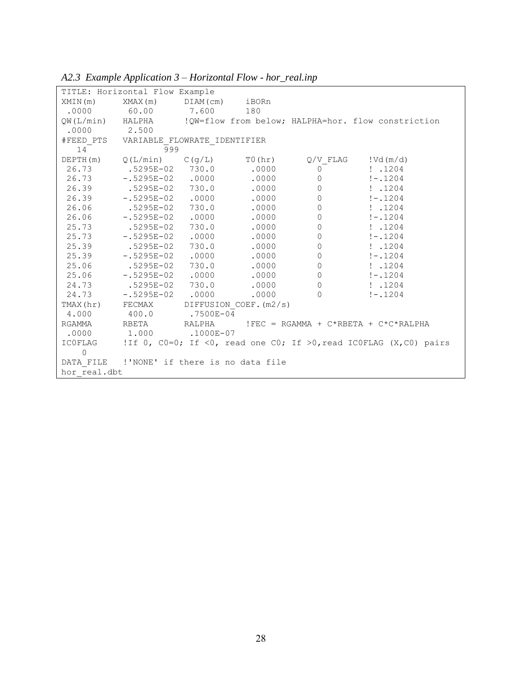|                | TITLE: Horizontal Flow Example                          |       |       |                |                                                                           |
|----------------|---------------------------------------------------------|-------|-------|----------------|---------------------------------------------------------------------------|
|                | $XMIN(m)$ $XMAX(m)$ $DIAM(cm)$ iBORn                    |       |       |                |                                                                           |
|                | .0000 60.00 7.600 180                                   |       |       |                |                                                                           |
|                |                                                         |       |       |                | QW(L/min) HALPHA : !QW=flow from below; HALPHA=hor. flow constriction     |
| $.0000$ 2.500  |                                                         |       |       |                |                                                                           |
|                | #FEED PTS VARIABLE FLOWRATE IDENTIFIER                  |       |       |                |                                                                           |
| $14^{-}$       | 999                                                     |       |       |                |                                                                           |
|                | DEPTH(m) $Q(L/min)$ $C(g/L)$ T0(hr) $Q/V$ FLAG !Vd(m/d) |       |       |                |                                                                           |
|                | 26.73 .5295E-02 730.0 .0000                             |       |       | $\overline{0}$ | : .1204                                                                   |
|                | $26.73 - 5295E - 02$ .0000                              |       | .0000 |                | $0 \t - 1204$                                                             |
|                | 26.39 .5295E-02 730.0                                   |       | .0000 | $\overline{0}$ | : .1204                                                                   |
|                | 26.39 -.5295E-02 .0000                                  |       | .0000 | $\overline{0}$ | $! - .1204$                                                               |
|                | 26.06 .5295E-02 730.0                                   |       | .0000 |                | $0 \t1.1204$                                                              |
|                | 26.06 -.5295E-02 .0000                                  |       | .0000 | $\circledcirc$ | $! - .1204$                                                               |
|                | 25.73 .5295E-02 730.0                                   |       | .0000 | $\circ$        | $\frac{1}{2}$ .1204                                                       |
|                | $25.73 - 5295E - 02$                                    | .0000 | .0000 | $\circ$        | $! - .1204$                                                               |
|                | 25.39 .5295E-02 730.0                                   |       | .0000 | $\overline{0}$ | : .1204                                                                   |
|                | 25.39 -.5295E-02 .0000                                  |       | .0000 | $\overline{0}$ | $! - .1204$                                                               |
|                | 25.06 .5295E-02 730.0                                   |       | .0000 | $\circ$        | $\frac{1}{2}$ .1204                                                       |
|                | 25.06 -.5295E-02 .0000                                  |       | .0000 | $\circ$        | $! - .1204$                                                               |
|                | 24.73 .5295E-02 730.0                                   |       | .0000 | $\circ$        | : .1204                                                                   |
|                | 24.73 - 5295E-02 .0000                                  |       | .0000 | $\Omega$       | $! - 1204$                                                                |
|                | TMAX(hr) FECMAX DIFFUSION COEF. (m2/s)                  |       |       |                |                                                                           |
|                | 4.000 400.0 .7500E-04                                   |       |       |                |                                                                           |
|                |                                                         |       |       |                | RGAMMA REETA RALPHA !FEC = RGAMMA + C*RBETA + C*C*RALPHA                  |
|                | $.0000$ 1.000 $.1000E-07$                               |       |       |                |                                                                           |
|                |                                                         |       |       |                | ICOFLAG 1If 0, CO=0; If <0, read one CO; If >0, read ICOFLAG (X,CO) pairs |
| $\overline{0}$ |                                                         |       |       |                |                                                                           |
|                | DATA FILE !'NONE' if there is no data file              |       |       |                |                                                                           |
| hor real.dbt   |                                                         |       |       |                |                                                                           |

*A2.3 Example Application 3 – Horizontal Flow - hor\_real.inp*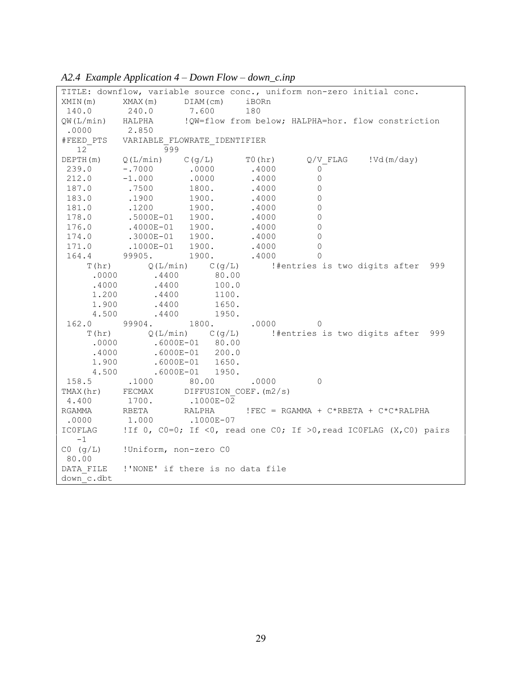|                  | TITLE: downflow, variable source conc., uniform non-zero initial conc. |               |         |                |                                                                         |
|------------------|------------------------------------------------------------------------|---------------|---------|----------------|-------------------------------------------------------------------------|
| XMIN(m)          | $XMAX(m)$ $DIAM(cm)$                                                   |               | iBORn   |                |                                                                         |
| 140.0            | 240.0<br>7.600                                                         |               | 180     |                |                                                                         |
| QW(L/min) HALPHA |                                                                        |               |         |                | !QW=flow from below; HALPHA=hor. flow constriction                      |
| .0000            | 2.850                                                                  |               |         |                |                                                                         |
|                  | #FEED PTS VARIABLE FLOWRATE IDENTIFIER                                 |               |         |                |                                                                         |
| 12               | 999                                                                    |               |         |                |                                                                         |
|                  | DEPTH $(m)$ Q(L/min) C(g/L)                                            |               | TO (hr) |                | $Q/V$ FLAG $!Vd(m/day)$                                                 |
| 239.0            | $-0.7000$                                                              | .0000         | .4000   | $\overline{0}$ |                                                                         |
| 212.0            | $-1.000$<br>.0000                                                      |               | .4000   | $\circ$        |                                                                         |
| 187.0            | .7500<br>1800.                                                         |               | .4000   | $\circ$        |                                                                         |
| 183.0            | $.1900$ $1900.$                                                        |               | .4000   | $\Omega$       |                                                                         |
| 181.0            | $.1200$ $1900.$                                                        |               | .4000   | $\circ$        |                                                                         |
| 178.0            | .5000E-01 1900.<br>.4000E-01 1900.                                     |               | .4000   | $\circ$        |                                                                         |
| 176.0            |                                                                        |               | .4000   | $\circ$        |                                                                         |
| 174.0            | $.3000E - 01$ 1900.                                                    |               | .4000   | $\circ$        |                                                                         |
| 171.0            | $.1000E - 01$ 1900.                                                    |               | .4000   | $\Omega$       |                                                                         |
| 164.4            | 99905.<br>1900.                                                        |               | .4000   | $\Omega$       |                                                                         |
|                  | $T(hr)$ $Q(L/min)$ $C(g/L)$                                            |               |         |                | #entries is two digits after 999                                        |
| .0000            | .4400                                                                  | 80.00         |         |                |                                                                         |
| .4000            | $.4400$ 100.0                                                          |               |         |                |                                                                         |
| 1.200            | $.4400$ $1100.$                                                        |               |         |                |                                                                         |
| 1.900            | $.4400$ 1650.                                                          |               |         |                |                                                                         |
| 4.500            | .4400                                                                  | 1950.         |         |                |                                                                         |
|                  | $162.0$ 99904.                                                         | 1800. .0000 0 |         |                |                                                                         |
| T(hr)            | $Q(L/min)$ $C(q/L)$                                                    |               |         |                | #entries is two digits after 999                                        |
|                  | $.0000$ .6000E-01 80.00                                                |               |         |                |                                                                         |
| .4000            | $.6000E - 01$ 200.0                                                    |               |         |                |                                                                         |
| 1.900            | .6000E-01 1650.<br>.6000E-01 1950.                                     |               |         |                |                                                                         |
| 4.500            |                                                                        |               |         |                |                                                                         |
|                  | 158.5 .1000 80.00 .0000                                                |               |         | $\overline{0}$ |                                                                         |
| TMAX (hr)        | FECMAX DIFFUSION COEF. (m2/s)                                          |               |         |                |                                                                         |
| 4.400            | 1700.                                                                  | .1000E-02     |         |                |                                                                         |
| RGAMMA           | RBETA<br>RALPHA                                                        |               |         |                | $!$ FEC = RGAMMA + C*RBETA + C*C*RALPHA                                 |
| .0000            | .1000E-07<br>1.000                                                     |               |         |                |                                                                         |
| ICOFLAG          |                                                                        |               |         |                | !If 0, $CO=0$ ; If <0, read one $CO$ ; If >0, read ICOFLAG (X,CO) pairs |
| $-1$             |                                                                        |               |         |                |                                                                         |
|                  | $CO$ (g/L) !Uniform, non-zero $CO$                                     |               |         |                |                                                                         |
| 80.00            |                                                                        |               |         |                |                                                                         |
|                  | DATA FILE !'NONE' if there is no data file                             |               |         |                |                                                                         |
| down c.dbt       |                                                                        |               |         |                |                                                                         |

# *A2.4 Example Application 4 – Down Flow – down\_c.inp*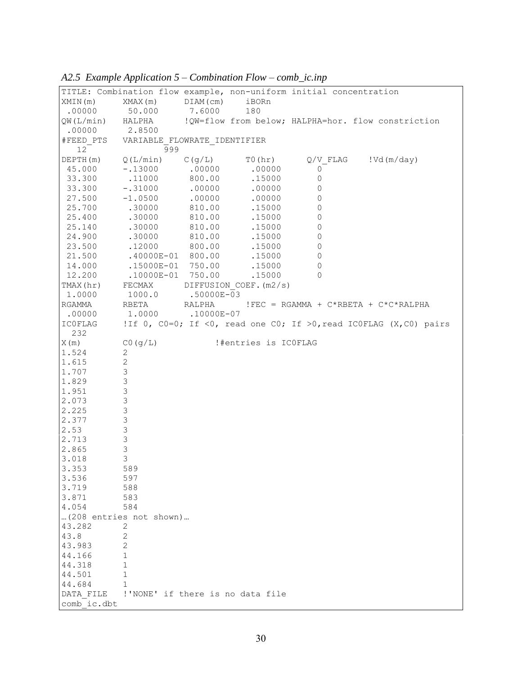|                       | TITLE: Combination flow example, non-uniform initial concentration |             |                                  |              |                                                                   |
|-----------------------|--------------------------------------------------------------------|-------------|----------------------------------|--------------|-------------------------------------------------------------------|
| XMIN(m)               | XMAX(m)                                                            | $DIAM$ (cm) | iBORn                            |              |                                                                   |
| .00000                | 50.000                                                             | 7.6000      | 180                              |              |                                                                   |
| QW(L/min) HALPHA      |                                                                    |             |                                  |              | !QW=flow from below; HALPHA=hor. flow constriction                |
| .00000                | 2.8500                                                             |             |                                  |              |                                                                   |
|                       | #FEED PTS VARIABLE FLOWRATE IDENTIFIER                             |             |                                  |              |                                                                   |
| 12                    | 999                                                                |             |                                  |              |                                                                   |
| DEPTH (m)             | Q(L/min)                                                           | C(g/L)      | T0 (hr)                          |              | $Q/V$ FLAG $!Vd(m/day)$                                           |
| 45.000                | $-.13000$                                                          | .00000      | .00000                           | 0            |                                                                   |
| 33.300                | .11000                                                             | 800.00      | .15000                           | $\mathsf{O}$ |                                                                   |
| 33.300                | $-.31000$                                                          | .00000      | .00000                           | $\Omega$     |                                                                   |
| 27.500                | $-1.0500$                                                          | .00000      | .00000                           | 0            |                                                                   |
| 25.700                | .30000                                                             | 810.00      | .15000                           | 0            |                                                                   |
| 25.400                | .30000                                                             | 810.00      | .15000                           | 0            |                                                                   |
| 25.140                | .30000                                                             | 810.00      | .15000                           | 0            |                                                                   |
| 24.900                | .30000                                                             | 810.00      | .15000                           | 0            |                                                                   |
| 23.500                | .12000                                                             | 800.00      | .15000                           | 0            |                                                                   |
| 21.500                | $.40000E - 01$ 800.00                                              |             | .15000                           | 0            |                                                                   |
| 14.000                | .15000E-01                                                         | 750.00      | .15000                           | 0            |                                                                   |
| 12.200                | $.10000E - 01$ 750.00                                              |             | .15000                           | $\Omega$     |                                                                   |
| TMAX (hr)             | FECMAX                                                             |             | DIFFUSION COEF. (m2/s)           |              |                                                                   |
| 1.0000                | 1000.0                                                             | .50000E-03  |                                  |              |                                                                   |
| RGAMMA                | RBETA                                                              | RALPHA      |                                  |              | $!$ FEC = RGAMMA + C*RBETA + C*C*RALPHA                           |
| .00000                | 1,0000                                                             | .10000E-07  |                                  |              |                                                                   |
| <b>ICOFLAG</b><br>232 |                                                                    |             |                                  |              | !If 0, CO=0; If <0, read one CO; If >0, read ICOFLAG (X,CO) pairs |
| X(m)                  | CO (g/L)                                                           |             | !#entries is ICOFLAG             |              |                                                                   |
| 1.524                 | 2                                                                  |             |                                  |              |                                                                   |
| 1.615                 | $\mathbf{2}$                                                       |             |                                  |              |                                                                   |
| 1.707                 | $\ensuremath{\mathsf{3}}$                                          |             |                                  |              |                                                                   |
| 1.829                 | $\mathfrak{Z}$                                                     |             |                                  |              |                                                                   |
| 1.951                 | $\mathsf 3$                                                        |             |                                  |              |                                                                   |
| 2.073                 | $\mathsf 3$                                                        |             |                                  |              |                                                                   |
| 2.225                 | 3                                                                  |             |                                  |              |                                                                   |
| 2.377                 | $\mathsf 3$                                                        |             |                                  |              |                                                                   |
| 2.53                  | $\mathsf 3$                                                        |             |                                  |              |                                                                   |
| 2.713                 | $\mathsf 3$                                                        |             |                                  |              |                                                                   |
| 2.865                 | $\mathsf 3$                                                        |             |                                  |              |                                                                   |
| 3.018                 | 3                                                                  |             |                                  |              |                                                                   |
| 3.353                 | 589                                                                |             |                                  |              |                                                                   |
| 3.536                 | 597                                                                |             |                                  |              |                                                                   |
| 3.719                 | 588                                                                |             |                                  |              |                                                                   |
| 3.871                 | 583                                                                |             |                                  |              |                                                                   |
| 4.054                 | 584                                                                |             |                                  |              |                                                                   |
|                       | (208 entries not shown)                                            |             |                                  |              |                                                                   |
| 43.282                | 2                                                                  |             |                                  |              |                                                                   |
| 43.8                  | 2                                                                  |             |                                  |              |                                                                   |
| 43.983                | 2                                                                  |             |                                  |              |                                                                   |
| 44.166                | 1                                                                  |             |                                  |              |                                                                   |
| 44.318                | $\mathbf 1$                                                        |             |                                  |              |                                                                   |
| 44.501                | 1                                                                  |             |                                  |              |                                                                   |
| 44.684                | $\mathbf 1$                                                        |             |                                  |              |                                                                   |
| DATA FILE             |                                                                    |             | !'NONE' if there is no data file |              |                                                                   |
| comb ic.dbt           |                                                                    |             |                                  |              |                                                                   |

*A2.5 Example Application 5 – Combination Flow – comb\_ic.inp*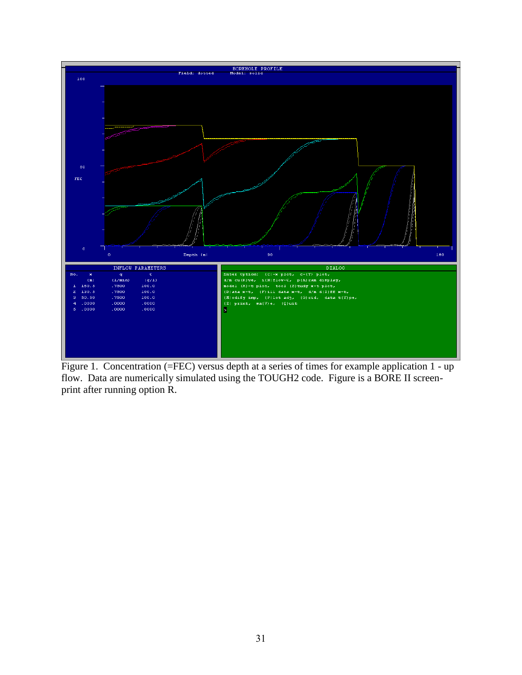

Figure 1. Concentration (=FEC) versus depth at a series of times for example application 1 - up flow. Data are numerically simulated using the TOUGH2 code. Figure is a BORE II screenprint after running option R.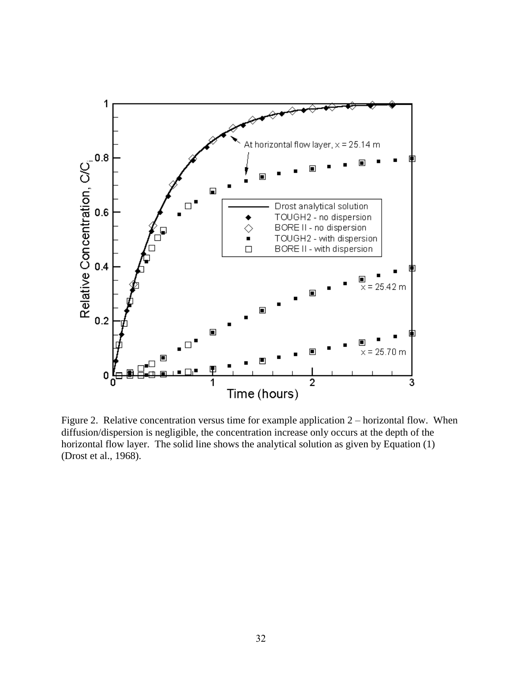

Figure 2. Relative concentration versus time for example application 2 – horizontal flow. When diffusion/dispersion is negligible, the concentration increase only occurs at the depth of the horizontal flow layer. The solid line shows the analytical solution as given by Equation (1) (Drost et al., 1968).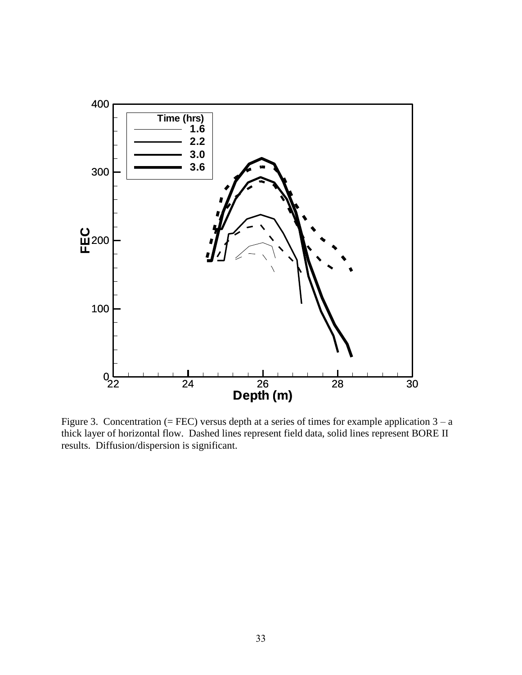

Figure 3. Concentration (= FEC) versus depth at a series of times for example application  $3 - a$ thick layer of horizontal flow. Dashed lines represent field data, solid lines represent BORE II results. Diffusion/dispersion is significant.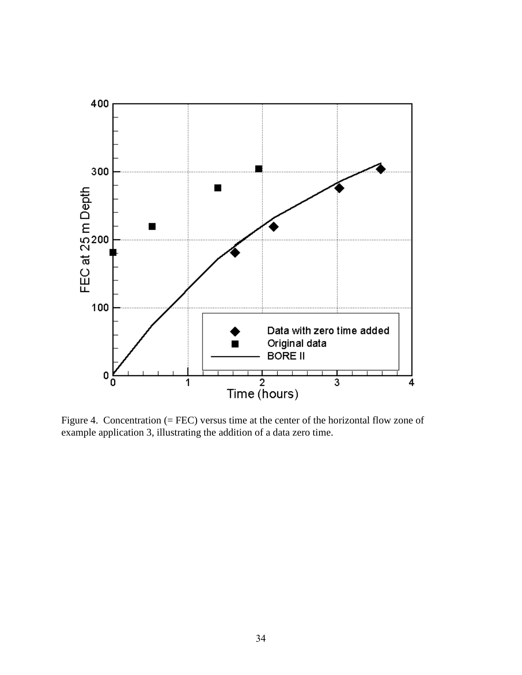

Figure 4. Concentration (= FEC) versus time at the center of the horizontal flow zone of example application 3, illustrating the addition of a data zero time.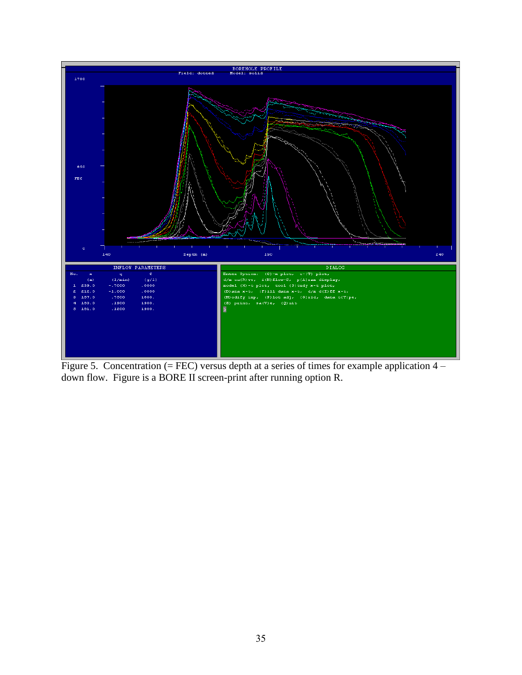

Figure 5. Concentration  $(= FEC)$  versus depth at a series of times for example application  $4$ down flow. Figure is a BORE II screen-print after running option R.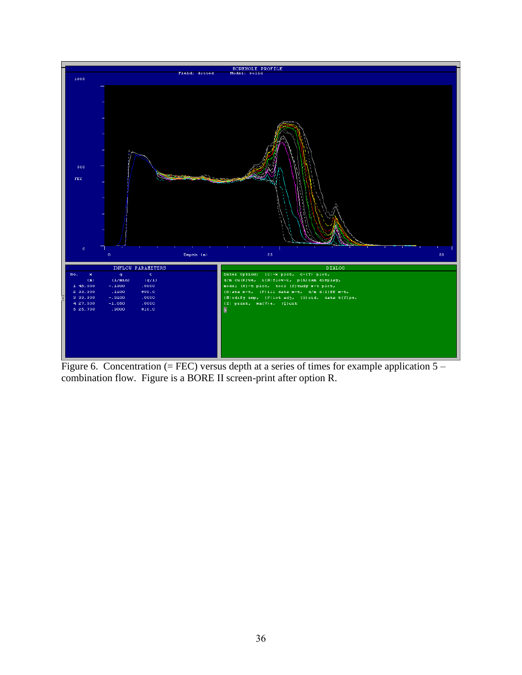

Figure 6. Concentration (= FEC) versus depth at a series of times for example application  $5$ combination flow. Figure is a BORE II screen-print after option R.